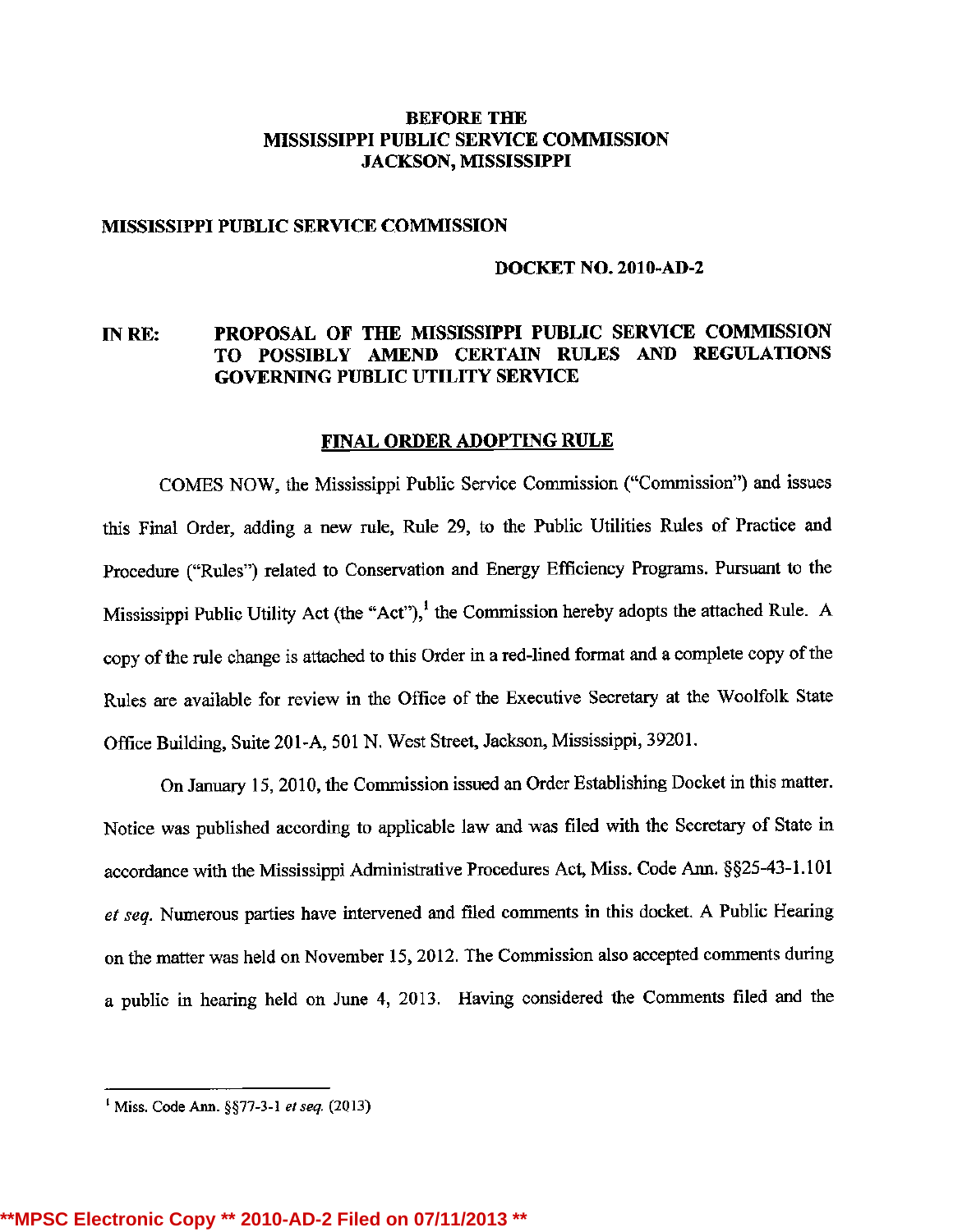### BEFORE THE MISSISSIPPI PUBLIC SERVICE COMMISSION JACKSON, MISSISSIPPI

### MISSISSIPPI PUBLIC SERVICE COMMISSION

### DOCKET NO. 2010-AD-2

# IN RE: PROPOSAL OF THE MISSISSIPPI PUBLIC SERVICE COMMISSION TO POSSIBLY AMEND CERTAIN RULES AND REGULATIONS GOVERNING PUBLIC UTILITY SERVICE

### FINAL ORDER ADOPTING RULE

COMES NOW, the Mississippi Public Service Commission ("Commission") and issues this Final Order, adding a new rule, Rule 29, to the Public Utilities Rules of Practice and Procedure ("Rules") related to Conservation and Energy Efficiency Programs. Pursuant to the Mississippi Public Utility Act (the "Act"),<sup>1</sup> the Commission hereby adopts the attached Rule. A copy of the rule change is attached to this Order in a red-lined format and a complete copy of the Rules are available for review in the Office of the Executive Secretary at the Woolfolk State Office Building, Suite 201-A, 501N. West Street, Jackson, Mississippi, 39201.

On January 15, 2010, the Commission issued an Order Establishing Docket in this matter. Notice was published according to applicable law and was filed with the Secretary of State in accordance with the Mississippi Administrative Procedures Act, Miss. Code Ann. §§25-43-1.101 et seq. Numerous parties have intervened and filed comments in this docket. A Public Hearing on the matter was held on November 15, 2012. The Commission also accepted comments during a public in hearing held on June 4, 2013. Having considered the Comments filed and the

<sup>&</sup>lt;sup>1</sup> Miss. Code Ann. §§77-3-1 et seq.  $(2013)$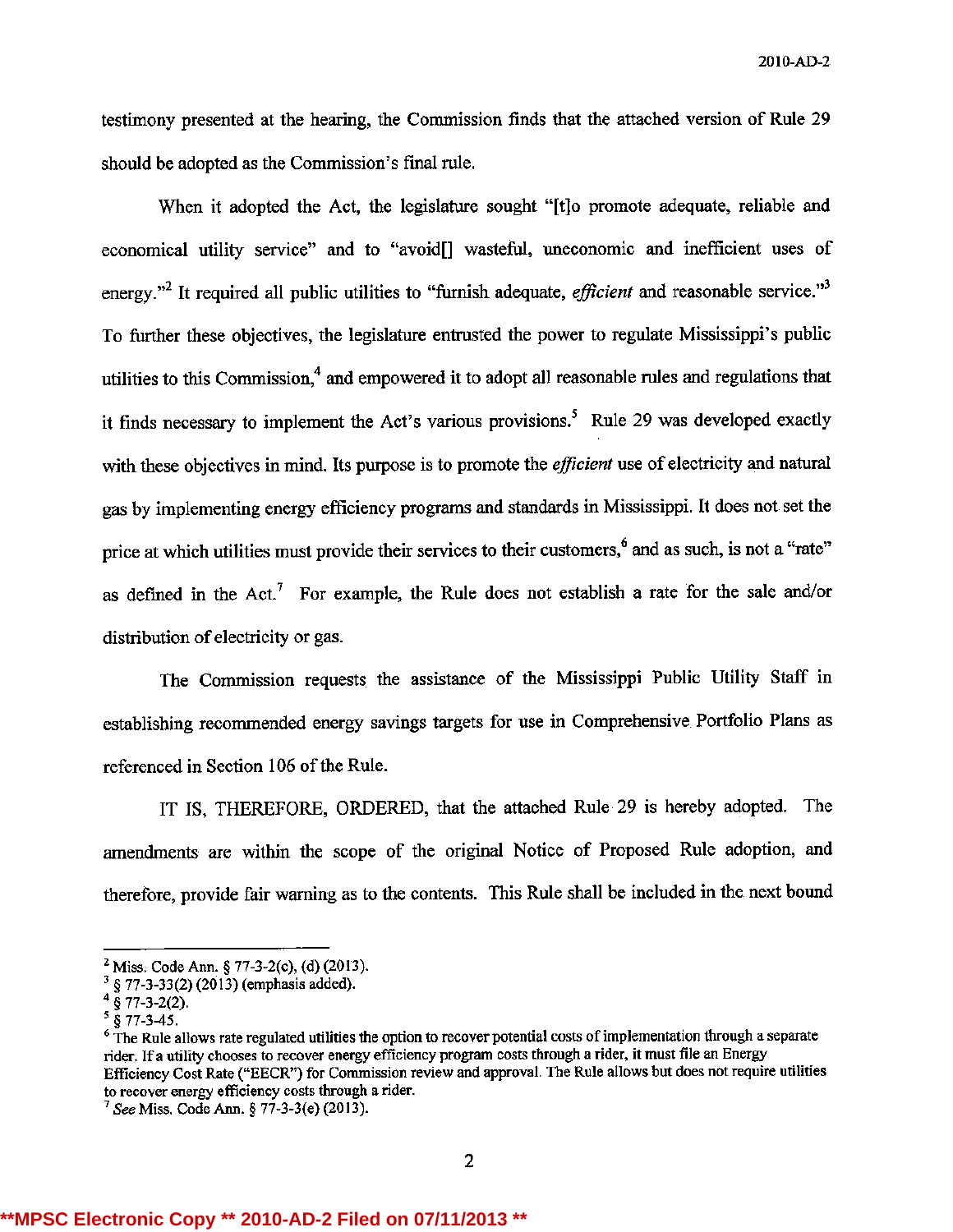20 10-AD-2

testimony presented at the hearing, the Commission finds that the attached version of Rule 29 should be adopted as the Commission's final rule.

When it adopted the Act, the legislature sought "[tjo promote adequate, reliable and economical utility service" and to "avoid[] wasteful, uneconomic and inefficient uses of energy."<sup>2</sup> It required all public utilities to "furnish adequate, *efficient* and reasonable service."<sup>3</sup> To further these objectives, the legislature entrusted the power to regulate Mississippi's public utilities to this Commission, $4$  and empowered it to adopt all reasonable rules and regulations that it finds necessary to implement the Act's various provisions.<sup>5</sup> Rule 29 was developed exactly with these objectives in mind. Its purpose is to promote the *efficient* use of electricity and natural gas by implementing energy efficiency programs and standards in Mississippi. It does not set the price at which utilities must provide their services to their customers,<sup>6</sup> and as such, is not a "rate" as defined in the Act.<sup>7</sup> For example, the Rule does not establish a rate for the sale and/or distribution of electricity or gas.

The Commission requests the assistance of the Mississippi Public Utility Staff in establishing recommended energy savings targets for use in Comprehensive Portfolio Plans as referenced in Section 106 of the Rule.

IT IS, THEREFORE, ORDERED, that the attached Rule 29 is hereby adopted. The amendments are within the scope of the original Notice of Proposed Rule adoption, and therefore, provide fair warning as to the contents. This Rule shall be included in the next bound

 $2^2$  Miss. Code Ann. § 77-3-2(c), (d) (2013).

§77-3-33(2) (2013) (emphasis added).

 $^{4}$  § 77-3-2(2).

 $\frac{5}{9}$   $\frac{8}{77}$ -3-45.

<sup>&</sup>lt;sup>6</sup> The Rule allows rate regulated utilities the option to recover potential costs of implementation through a separate rider. If a utility chooses to recover energy efficiency program costs through a rider, it must file an Energy Efficiency Cost Rate ("EECR") for Commission review and approval. The Rule allows but does not require utilities to recover energy efficiency costs through a rider.

<sup>&</sup>lt;sup>7</sup> See Miss. Code Ann. § 77-3-3(e) (2013)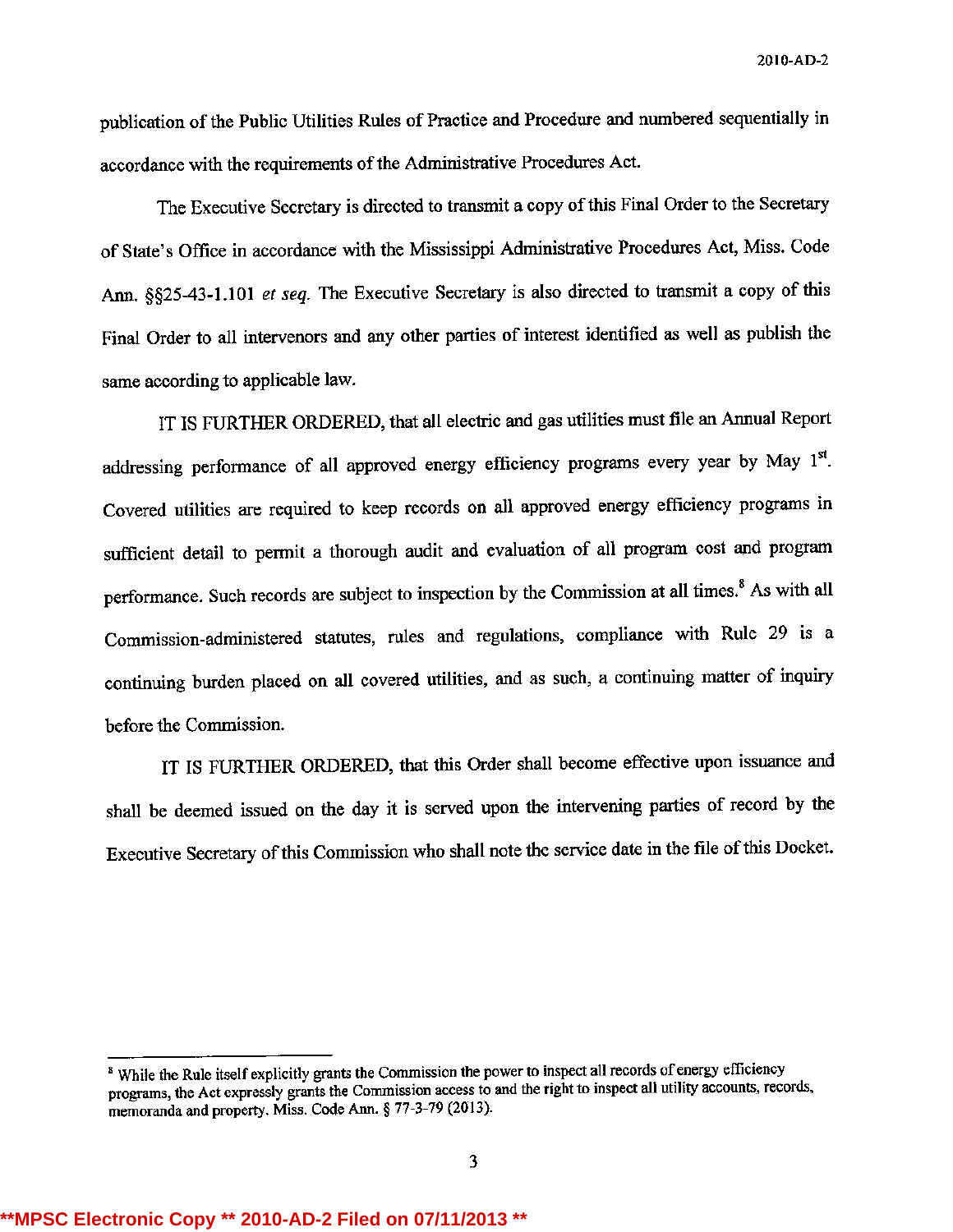publication of the Public Utilities Rules of Practice and Procedure and numbered sequentially in accordance with the requirements of the Administrative Procedures Act.

The Executive Secretary is directed to transmit a copy of this Final Order to the Secretary of State's Office in accordance with the Mississippi Administrative Procedures Act, Miss. Code Ann. §§25-43-1.101 et seq. The Executive Secretary is also directed to transmit a copy of this Final Order to all intervenors and any other parties of interest identified as well as publish the same according to applicable law.

IT IS FURTHER ORDERED, that all electric and gas utilities must file an Annual Report addressing performance of all approved energy efficiency programs every year by May 1". Covered utilities are required to keep records on all approved energy efficiency programs in sufficient detail to permit a thorough audit and evaluation of all program cost and program performance. Such records are subject to inspection by the Commission at all times.<sup>8</sup> As with all Commission-administered statutes, rules and regulations, compliance with Rule 29 is a continuing burden placed on all covered utilities, and as such, a continuing matter of inquiry before the Commission.

IT IS FURTHER ORDERED, that this Order shall become effective upon issuance and shall be deemed issued on the day it is served upon the intervening parties of record by the Executive Secretary of this Commission who shall note the service date in the file of this Docket.

<sup>&</sup>lt;sup>8</sup> While the Rule itself explicitly grants the Commission the power to inspect all records of energy efficiency programs, the Act expressly grants the Commission access to and the right to inspect all utility accounts, records, memoranda and property. Miss. Code Ann. § 77-3-79 (2013).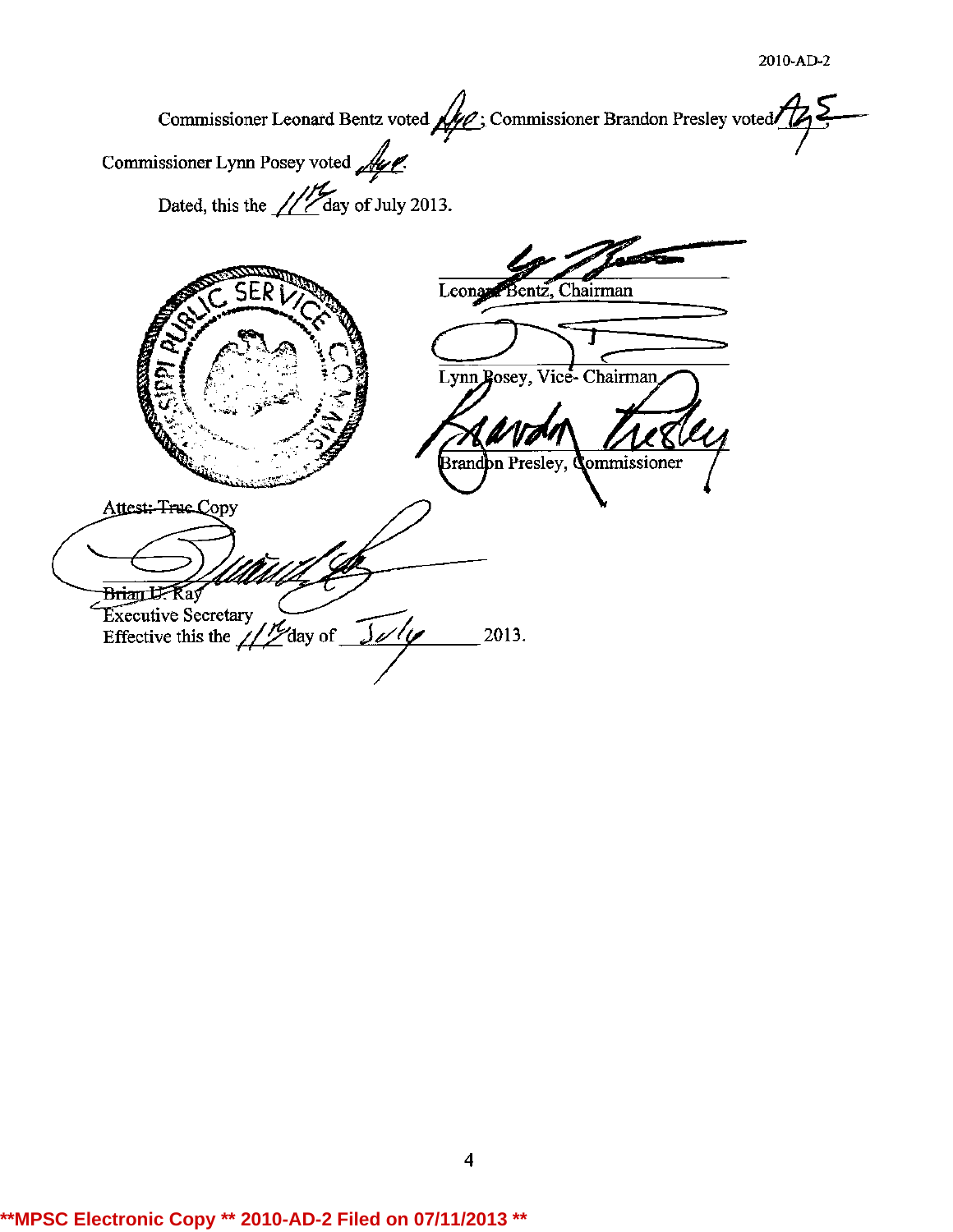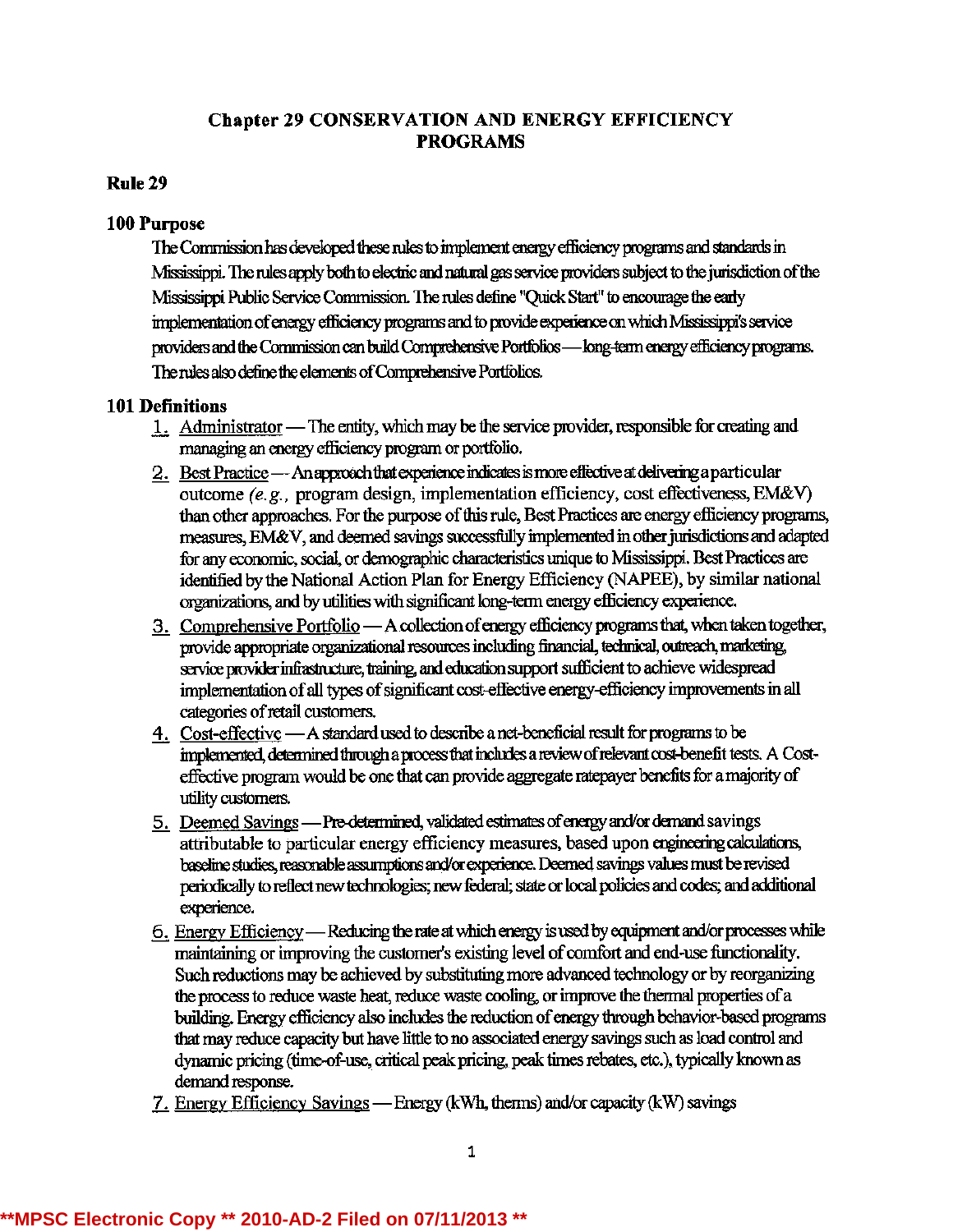# **Chapter 29 CONSERVATION AND ENERGY EFFICIENCY PROGRAMS**

## **Rule 29**

## 100 Purpose

The Commission has developed these rules to implement energy efficiency programs and standards in Mississippi. The rules apply both to electric and natural gas service providers subject to the jurisdiction of the Mississippi Public Service Commission. The rules define "Quick Start" to encourage the early implementation of energy efficiency programs and to provide experience on which Mississippi's service providers and the Commission can build Comprehensive Portfolios - long-term energy efficiency programs. The rules also define the elements of Comprehensive Portfolios.

## **101 Definitions**

- 1. Administrator The entity, which may be the service provider, responsible for creating and managing an energy efficiency program or portfolio.
- 2. Best Practice An approach that experience indicates is more effective at delivering a particular outcome (e.g., program design, implementation efficiency, cost effectiveness, EM&V) than other approaches. For the purpose of this rule, Best Practices are energy efficiency programs, measures, EM&V, and deemed savings successfully implemented in other jurisdictions and adapted for any economic, social, or demographic characteristics unique to Mississippi. Best Practices are identified by the National Action Plan for Energy Efficiency (NAPEE), by similar national organizations, and by utilities with significant long-term energy efficiency experience.
- 3. Comprehensive Portfolio A collection of energy efficiency programs that, when taken together, provide appropriate organizational resources including financial, technical, outreach, marketing, service provider infrastructure, training, and education support sufficient to achieve widespread implementation of all types of significant cost-effective energy-efficiency improvements in all categories of retail customers.
- 4. Cost-effective A standard used to describe a net-beneficial result for programs to be implemented, determined through a process that includes a review of relevant cost-benefit tests. A Costeffective program would be one that can provide aggregate ratepayer benefits for a majority of utility customers.
- 5. Deemed Savings Pre-determined, validated estimates of energy and/or demand savings attributable to particular energy efficiency measures, based upon engineering calculations, baseline studies, reasonable assumptions and/or experience. Deemed savings values must be revised periodically to reflect new technologies; new federal; state or local policies and codes; and additional experience.
- 6. Energy Efficiency Reducing the rate at which energy is used by equipment and/or processes while maintaining or improving the customer's existing level of comfort and end-use functionality. Such reductions may be achieved by substituting more advanced technology or by reorganizing the process to reduce waste heat, reduce waste cooling, or improve the thermal properties of a building. Energy efficiency also includes the reduction of energy through behavior-based programs that may reduce capacity but have little to no associated energy savings such as load control and dynamic pricing (time-of-use, critical peak pricing, peak times rebates, etc.), typically known as demand response.
- 7. Energy Efficiency Savings Energy (kWh, therms) and/or capacity (kW) savings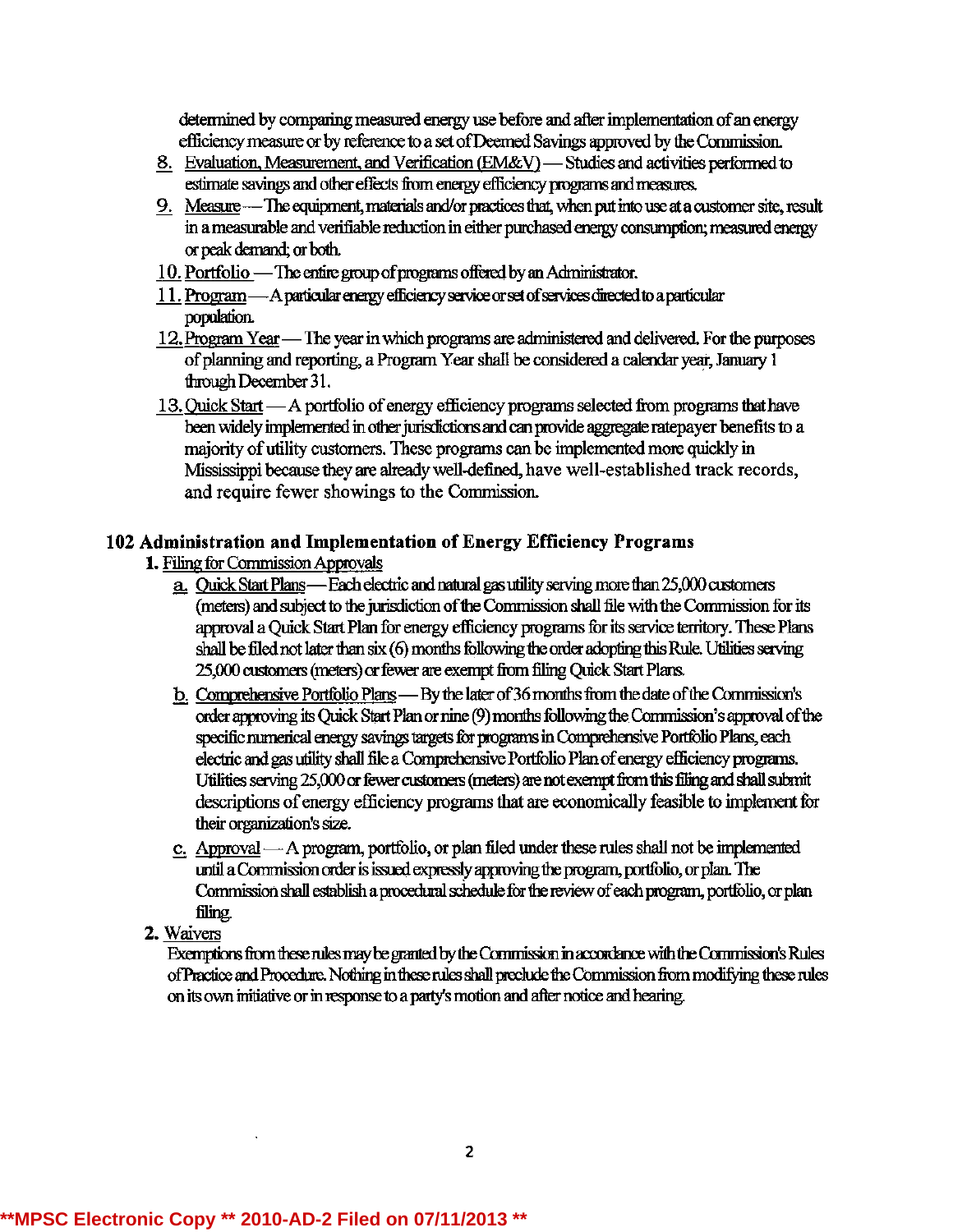determined by comparing measured energy use before and after implementation of an energy efficiency measure or by reference to a set of Deemed Savings approved by the Commission.

- 8. Evaluation, Measurement, and Verification (EM&V) Studies and activities performed to estimate savings and other effects from energy efficiency programs and measures.
- 9. Measure -- The equipment, materials and/or practices that, when put into use at a customer site, result in a measurable and verifiable reduction in either purchased energy consumption; measured energy or peak demand; or both.
- 10. Portfolio The entire group of programs offered by an Administrator.
- 11. Program A particular energy efficiency service or set of services directed to a particular population.
- 12. Program Year The year in which programs are administered and delivered. For the purposes of planning and reporting, a Program Year shall be considered a calendar year, January 1 through December 31.
- 13. Quick Start A portfolio of energy efficiency programs selected from programs that have been widely implemented in other jurisdictions and can provide aggregate ratepayer benefits to a majority of utility customers. These programs can be implemented more quickly in Mississippi because they are already well-defined, have well-established track records, and require fewer showings to the Commission.

# 102 Administration and Implementation of Energy Efficiency Programs

- 1. Filing for Commission Approvals
	- a. Quick Start Plans—Each electric and natural gas utility serving more than 25,000 customers (meters) and subject to the jurisdiction of the Commission shall file with the Commission for its approval a Quick Start Plan for energy efficiency programs for its service territory. These Plans shall be filed not later than six (6) months following the order adopting this Rule. Utilities serving 25,000 customers (meters) or fewer are exempt from filing Quick Start Plans.
	- b. Comprehensive Portfolio Plans By the later of 36 months from the date of the Commission's order approving its Quick Start Plan or nine (9) months following the Commission's approval of the specific numerical energy savings targets for programs in Comprehensive Portfolio Plans, each electric and gas utility shall file a Comprehensive Portfolio Plan of energy efficiency programs. Utilities serving 25,000 or fewer customers (meters) are not exempt from this filing and shall submit descriptions of energy efficiency programs that are economically feasible to implement for their organization's size.
	- c. Approval—A program, portfolio, or plan filed under these rules shall not be implemented until a Commission order is issued expressly approving the program, portfolio, or plan. The Commission shall establish a procedural schedule for the review of each program, portfolio, or plan filing.
- 2. Waivers

Exemptions from these rules may be granted by the Commission in accordance with the Commission's Rules of Practice and Procedure. Nothing in these rules shall preclude the Commission from modifying these rules on its own initiative or in response to a party's motion and after notice and hearing.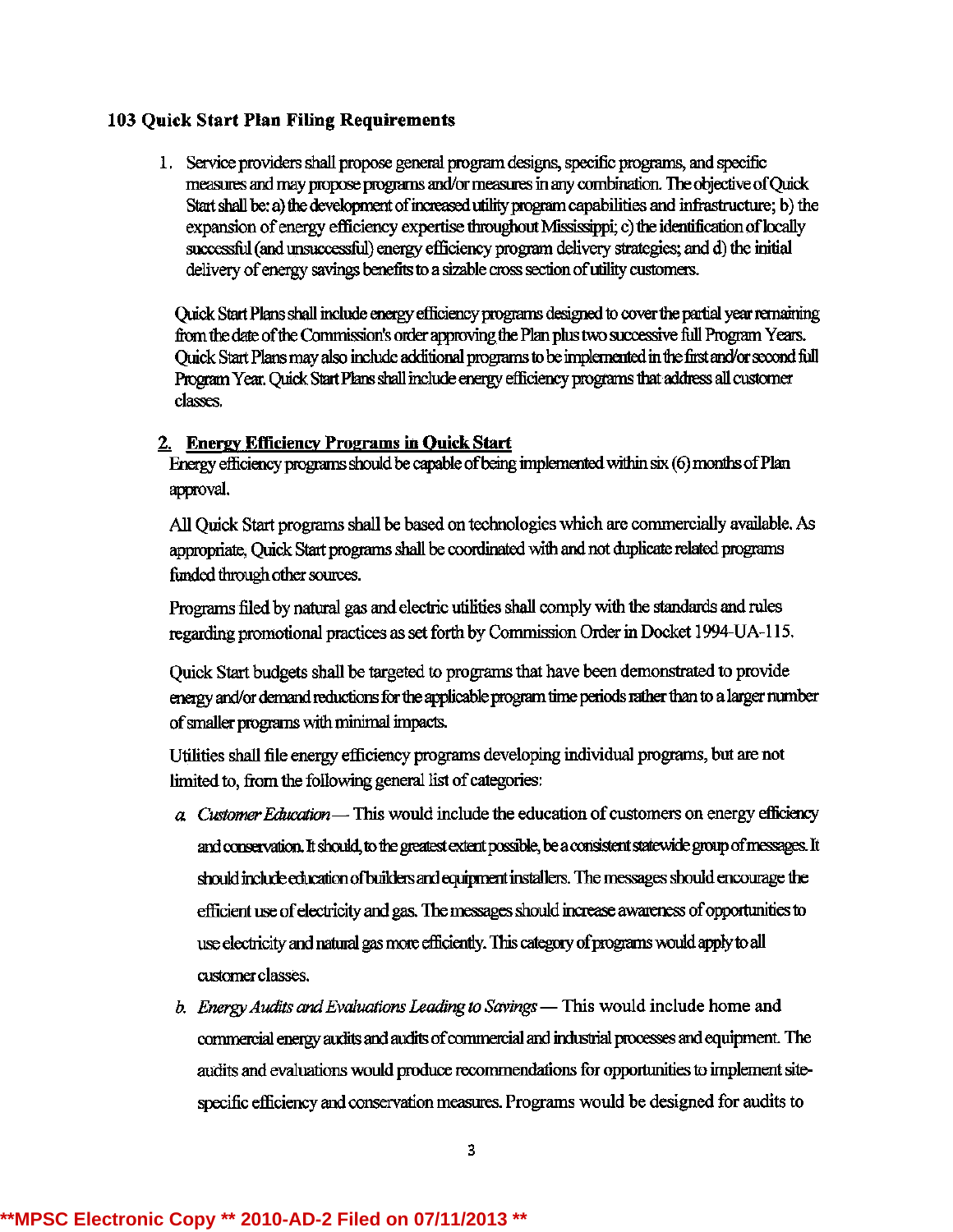## 103 Quick Start Plan Filing Requirements

1. Service providers shall propose general program designs, specific programs, and specific measures and may propose programs and/or measures in any combination. The objective of Quick Start shall be: a) the development of increased utility program capabilities and infrastructure; b) the expansion of energy efficiency expertise throughout Mississippi; c) the identification of locally successful (and unsuccessful) energy efficiency program delivery strategies; and d) the initial delivery of energy savings benefits to a sizable cross section of utility customers.

Quick Start Plans shall include energy efficiency programs designed to cover the partial year remaining from the date of the Commission's order approving the Plan plus two successive full Program Years. Quick Start Plans may also include additional programs to be implemented in the first and/or second full Program Year, Ouick Start Plans shall include energy efficiency programs that address all customer classes.

## 2. Energy Efficiency Programs in Quick Start

Energy efficiency programs should be capable of being implemented within six (6) months of Plan approval.

All Quick Start programs shall be based on technologies which are commercially available. As appropriate, Quick Start programs shall be coordinated with and not duplicate related programs funded through other sources.

Programs filed by natural gas and electric utilities shall comply with the standards and rules regarding promotional practices as set forth by Commission Order in Docket 1994-UA-115.

Quick Start budgets shall be targeted to programs that have been demonstrated to provide energy and/or demand reductions for the applicable program time periods rather than to a larger number of smaller programs with minimal impacts.

Utilities shall file energy efficiency programs developing individual programs, but are not limited to, from the following general list of categories:

- $\alpha$  Customer Education This would include the education of customers on energy efficiency and conservation. It should, to the greatest extent possible, be a consistent statewide group of messages. It should include education of builders and equipment installers. The messages should encourage the efficient use of electricity and gas. The messages should increase awareness of opportunities to use electricity and natural gas more efficiently. This category of programs would apply to all customer classes.
- b. Energy Audits and Evaluations Leading to Savings This would include home and commercial energy audits and audits of commercial and industrial processes and equipment. The audits and evaluations would produce recommendations for opportunities to implement sitespecific efficiency and conservation measures. Programs would be designed for audits to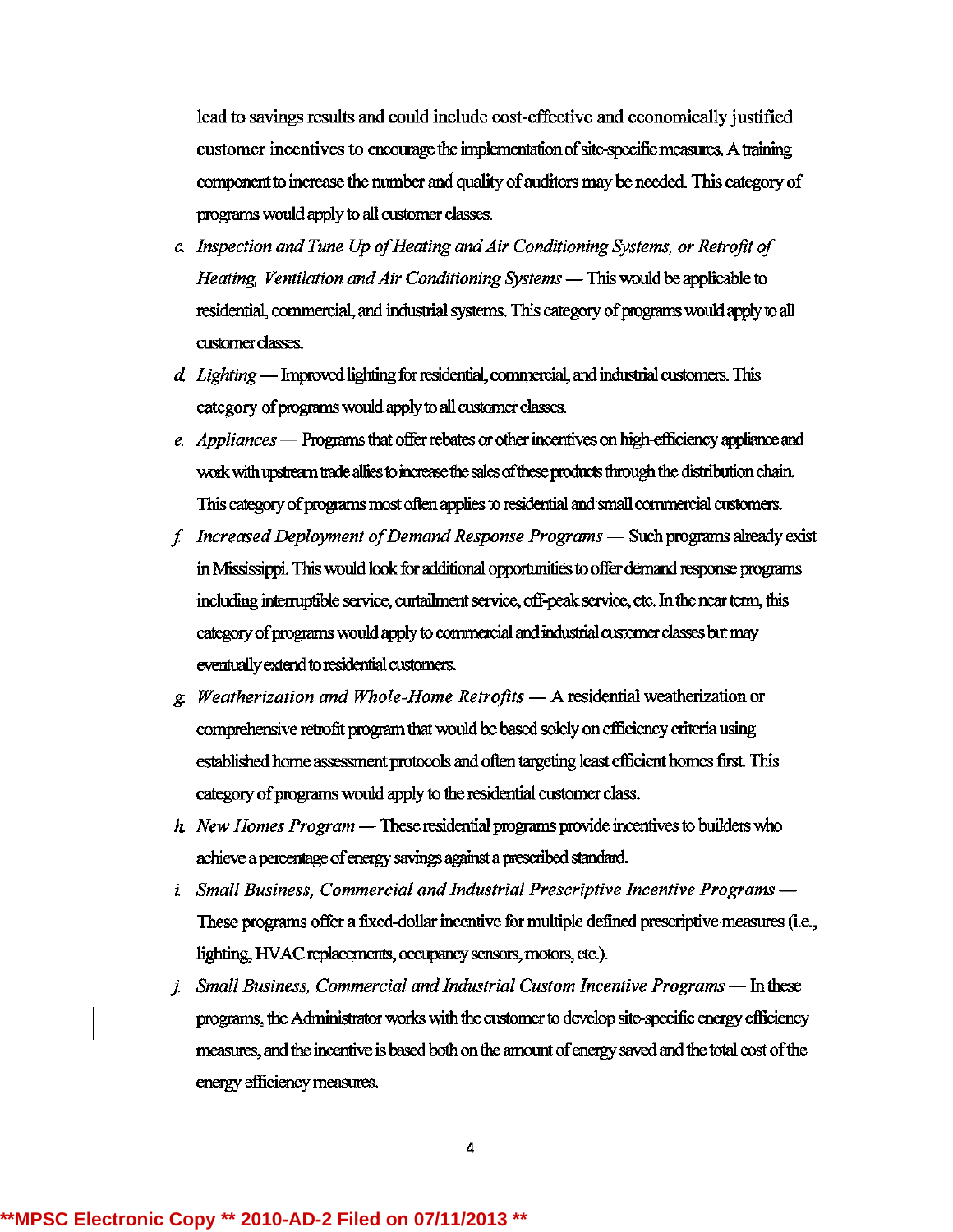lead to savings results and could include cost-effective and economically justified customer incentives to encourage the implementation of site-specific measures. A training component to increase the number and quality of auditors may be needed. This category of programs would apply to all customer classes.

- c. Inspection and Tune Up of Heating and Air Conditioning Systems, or Retrofit of Heating, Ventilation and Air Conditioning Systems — This would be applicable to residential, commercial, and industrial systems. This category of programs would apply to all customer classes.
- d. Lighting Improved lighting for residential, commercial, and industrial customers. This category of programs would apply to all customer classes.
- e. Appliances Programs that offer rebates or other incentives on high-efficiency appliance and work with upstream trade allies to increase the sales of these products through the distribution chain. This category of programs most often applies to residential and small commercial customers.
- f. Increased Deployment of Demand Response Programs Such programs already exist in Mississippi. This would look for additional opportunities to offer demand response programs including interruptible service, curtailment service, off-peak service, etc. In the near term, this category of programs would apply to commercial and industrial customer classes but may eventually extend to residential customers.
- g. Weatherization and Whole-Home Retrofits  $-$  A residential weatherization or comprehensive retrofit program that would be based solely on efficiency criteria using established home assessment protocols and often targeting least efficient homes first. This category of programs would apply to the residential customer class.
- h New Homes Program These residential programs provide incentives to builders who achieve a percentage of energy savings against a prescribed standard.
- *i* Small Business, Commercial and Industrial Prescriptive Incentive Programs -These programs offer a fixed-dollar incentive for multiple defined prescriptive measures (i.e., lighting, HVAC replacements, occupancy sensors, motors, etc.).
- *i.* Small Business, Commercial and Industrial Custom Incentive Programs  $-$  In these programs, the Administrator works with the customer to develop site-specific energy efficiency measures, and the incentive is based both on the amount of energy saved and the total cost of the energy efficiency measures.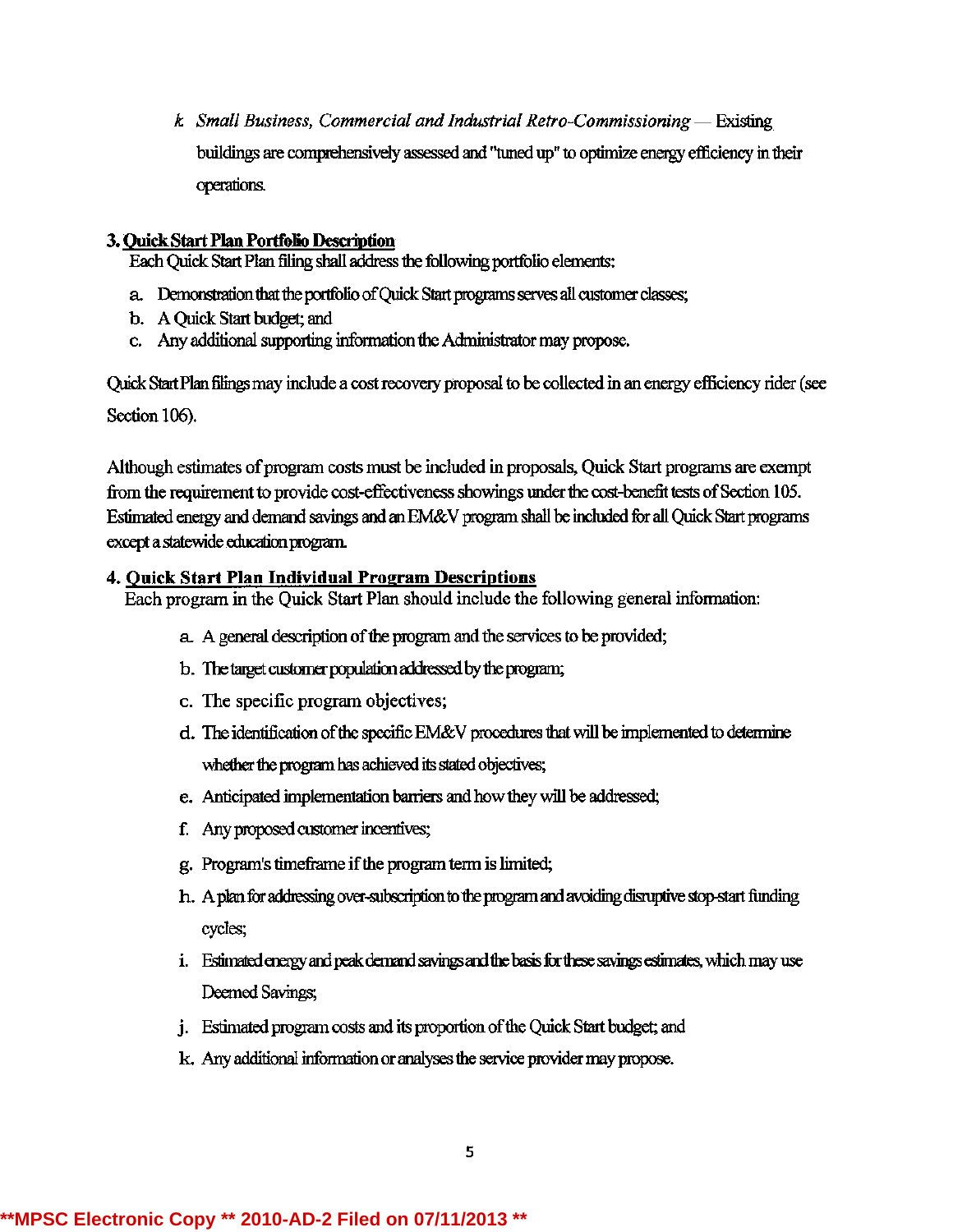k Small Business, Commercial and Industrial Retro-Commissioning  $-$  Existing buildings are comprehensively assessed and "tuned up" to optimize energy efficiency in their operations.

## 3. Quick Start Plan Portfolio Description

Each Quick Start Plan filing shall address the following portfolio elements;

- a. Demonstration that the portfolio of Quick Start programs serves all customer classes;
- b. A Quick Start budget; and
- c. Any additional supporting information the Administrator may propose.

Quick Start Plan filings may include a cost recovery proposal to be collected in an energy efficiency rider (see Section 106).

Although estimates of program costs must be included in proposals, Quick Start programs are exempt from the requirement to provide cost-effectiveness showings under the cost-benefit tests of Section 105. Estimated energy and demand savings and an EM&V program shall be included for all Quick Start programs except a statewide education program.

## 4. Quick Start Plan Individual Program Descriptions

Each program in the Quick Start Plan should include the following general information:

- a. A general description of the program and the services to be provided;
- b. The target customer population addressed by the program;
- c. The specific program objectives;
- d. The identification of the specific EM&V procedures that will be implemented to determine whether the program has achieved its stated objectives;
- e. Anticipated implementation barriers and how they will be addressed;
- f. Any proposed customer incentives;
- g. Program's timeframe if the program term is limited;
- h. A plan for addressing over-subscription to the program and avoiding disruptive stop-start funding cycles;
- i. Estimated energy and peak demand savings and the basis for these savings estimates, which may use Deemed Savings;
- j. Estimated program costs and its proportion of the Quick Start budget; and
- k. Any additional information or analyses the service provider may propose.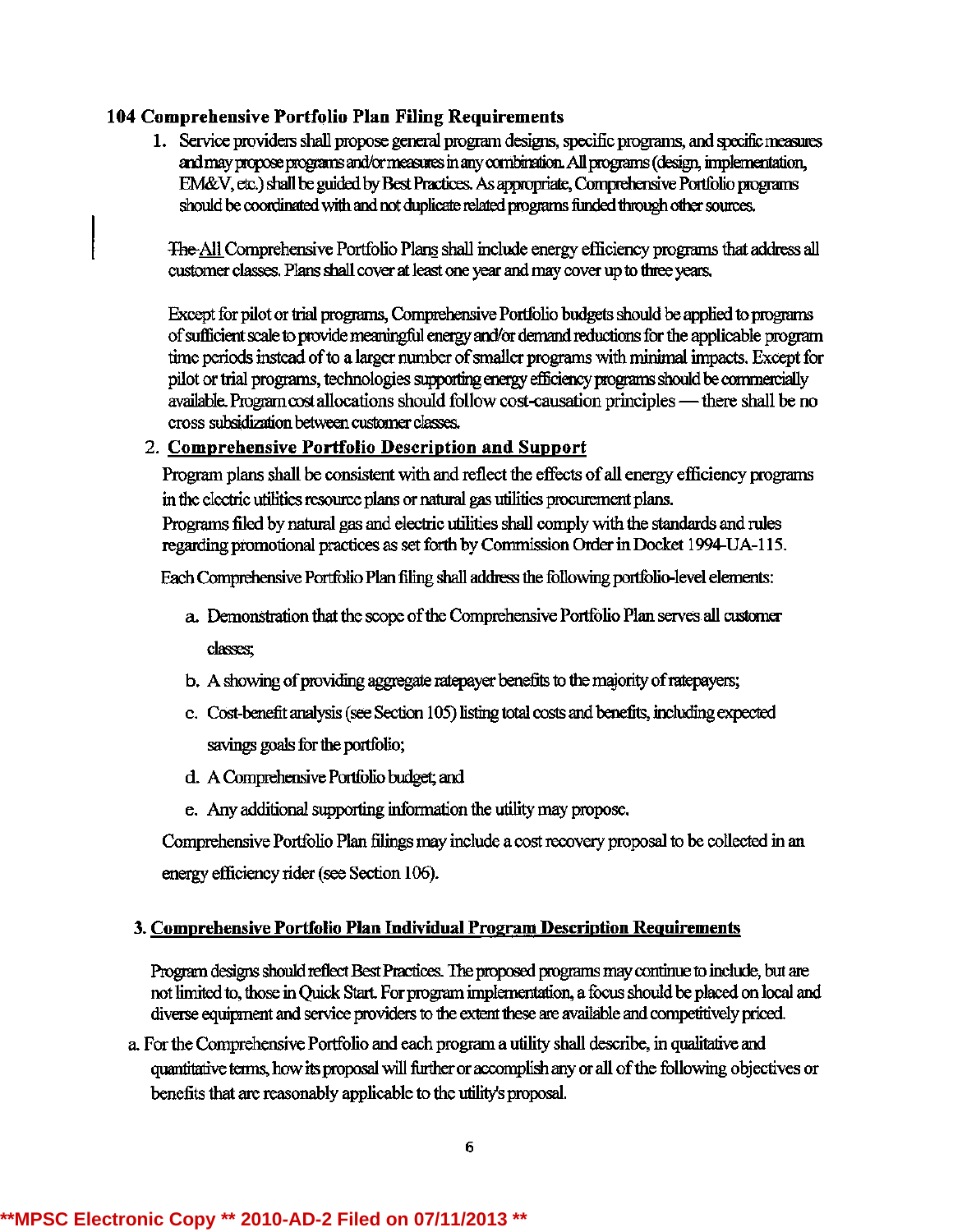# 104 Comprehensive Portfolio Plan Filing Requirements

1. Service providers shall propose general program designs, specific programs, and specific measures and may propose programs and/or measures in any combination. All programs (design, implementation, EM&V, etc.) shall be guided by Best Practices. As appropriate, Comprehensive Portfolio programs should be coordinated with and not duplicate related programs funded through other sources.

The All Comprehensive Portfolio Plans shall include energy efficiency programs that address all customer classes. Plans shall cover at least one year and may cover up to three years,

Except for pilot or trial programs, Comprehensive Portfolio budgets should be applied to programs of sufficient scale to provide meaningful energy and/or demand reductions for the applicable program time periods instead of to a larger number of smaller programs with minimal impacts. Except for pilot or trial programs, technologies supporting energy efficiency programs should be commercially available. Program cost allocations should follow cost-causation principles — there shall be no cross subsidization between customer classes.

## 2. Comprehensive Portfolio Description and Support

Program plans shall be consistent with and reflect the effects of all energy efficiency programs in the electric utilities resource plans or natural gas utilities procurement plans. Programs filed by natural gas and electric utilities shall comply with the standards and rules regarding promotional practices as set forth by Commission Order in Docket 1994-UA-115.

Each Comprehensive Portfolio Plan filing shall address the following portfolio-level elements:

- a. Demonstration that the scope of the Comprehensive Portfolio Plan serves all customer classes;
- b. A showing of providing aggregate ratepayer benefits to the majority of ratepayers;
- c. Cost-benefit analysis (see Section 105) listing total costs and benefits, including expected savings goals for the portfolio;
- d. A Comprehensive Portfolio budget; and
- e. Any additional supporting information the utility may propose.

Comprehensive Portfolio Plan filings may include a cost recovery proposal to be collected in an energy efficiency rider (see Section 106).

### 3. Comprehensive Portfolio Plan Individual Program Description Requirements

Program designs should reflect Best Practices. The proposed programs may continue to include, but are not limited to, those in Quick Start. For program implementation, a focus should be placed on local and diverse equipment and service providers to the extent these are available and competitively priced.

a. For the Comprehensive Portfolio and each program a utility shall describe, in qualitative and quantitative terms, how its proposal will further or accomplish any or all of the following objectives or benefits that are reasonably applicable to the utility's proposal.

### \*\*MPSC Electronic Copy \*\* 2010-AD-2 Filed on 07/11/2013 \*\*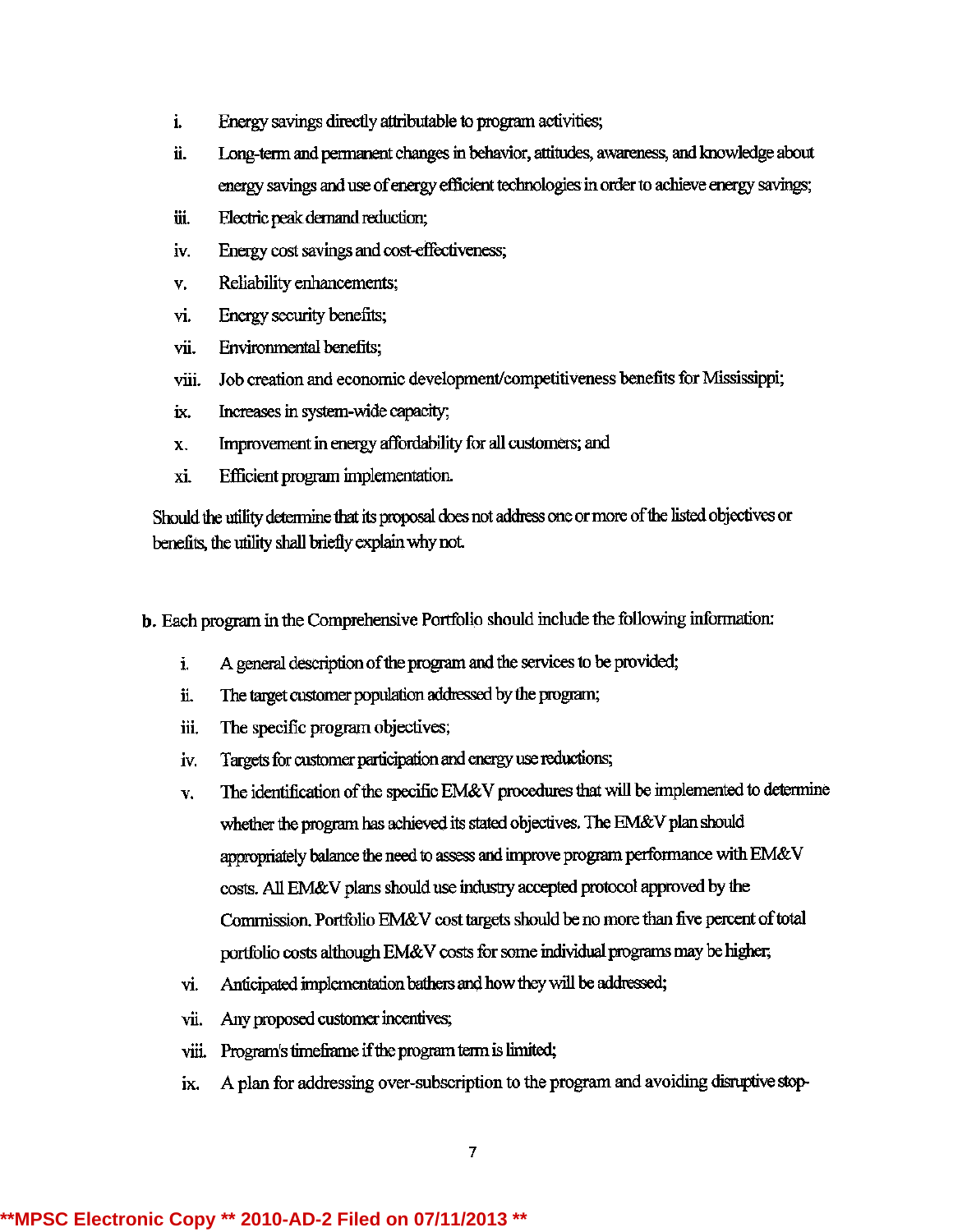- i. Energy savings directly attributable to program activities;
- ii. Long-term and permanent changes in behavior, attitudes, awareness, and knowledge about energy savings and use of energy efficient technologies in order to achieve energy savings;
- iii. Electric peak demand reduction;
- iv. Energy cost savings and cost-effectiveness;
- v. Reliability enhancements;
- vi. Energy security benefits;
- vii. Environmental benefits;
- viii. Job creation and economic development/competitiveness benefits for Mississippi;
- ix. Increases in system-wide capacity;
- x. Improvement in energy affordability for all customers; and
- xi. Efficient program implementation.

Should the utility determine that its proposal does not address one or more of the listed objectives or benefits, the utility shall briefly explain why not.

b. Each program in the Comprehensive Portfolio should include the following information:

- i. A general description of the program and the services to be provided;
- ii. The target customer population addressed by the program;
- iii. The specific program objectives;
- iv. Targets for customer participation and energy use reductions;
- $v<sub>i</sub>$ . The identification of the specific EM&V procedures that will be implemented to determine whether the program has achieved its stated objectives. The EM&V plan should appropriately balance the need to assess and improve program performance with EM&V costs. All EM&V plans should use industry accepted protocol approved by the Commission. Portfolio EM&V cost targets should be no more than five percent of total portfolio costs although EM&V costs for some individual programs may be higher;
- vi. Anticipated implementation bathers and how they will be addressed;
- vii. Any proposed customer incentives;
- viii. Program's timeframe if the program term is limited;
- ix. A plan for addressing over-subscription to the program and avoiding disruptive stop-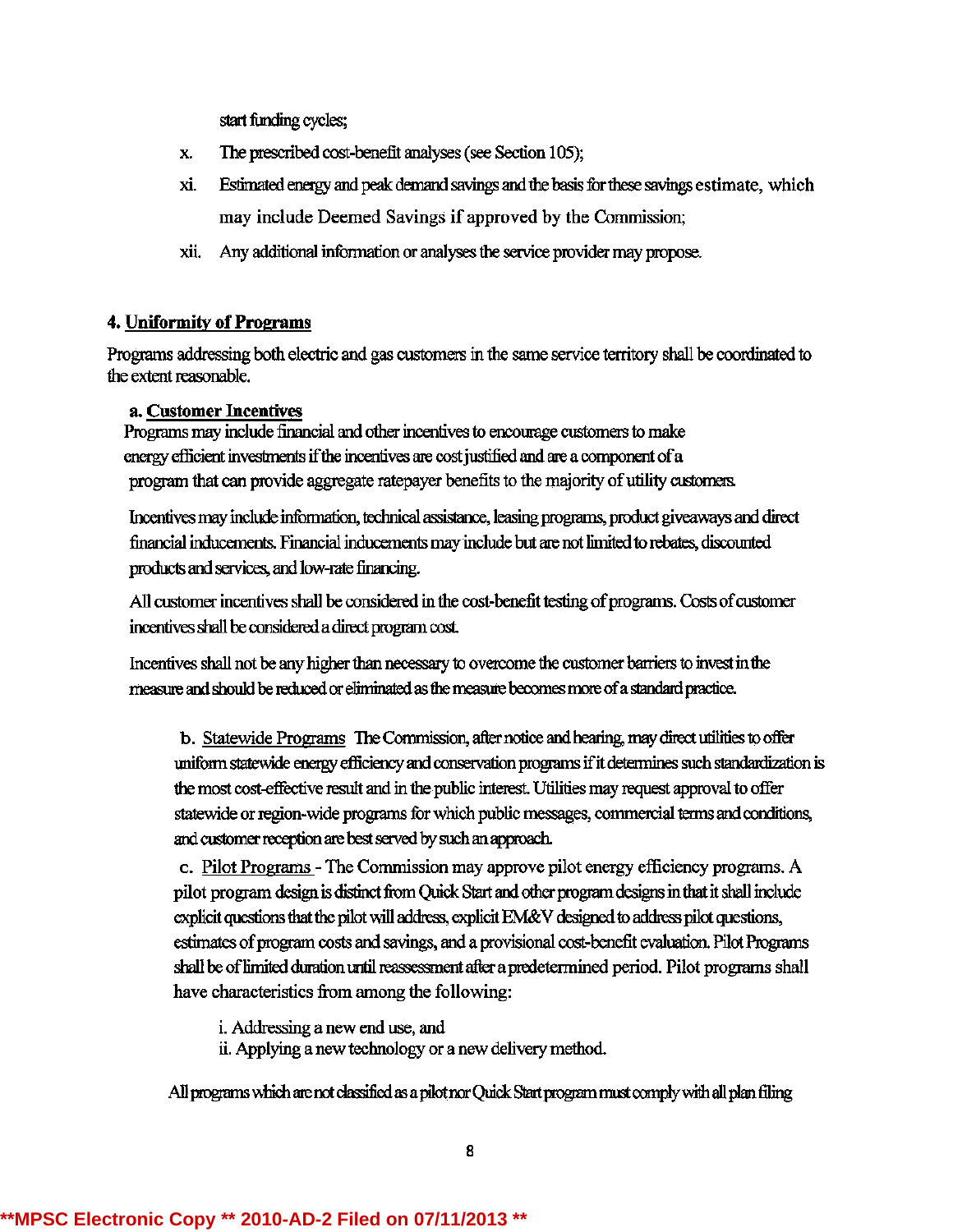start funding cycles;

- x. The prescribed cost-benefit analyses (see Section 105);
- xi. Eslimaledenergyand peakdemandsavingsandthe basisforthesesavingsestimate, which may include Deemed Savings if approved by the Commission;
- xii. Any additional information or analyses the service provider may propose.

# 4. Uniformity of Programs

Programs addressing both electric and gas customers in the same service territory shall be coordinated to the extent reasonable.

## a. Customer Incentives

Programs may include financial and other incentives to encourage customers to make energy efficient investments if the incentives are cost justified and are a component of a program that can provide aggregate ratepayer benefits to the majority of utility customers.

Incentives may include information, technical assistance, leasing programs, product giveaways and direct financial inducernents. Financial inducernents may include but are not limited to rebates, discounted products and services, and low-rate financing.

All customer incentives shall be considered in the cost-benefit testing of programs. Costs of customer incentives shall be considered a direct program cost.

Incentives shall not be any higher than necessary to overcome the customer barriers to invest in the measure and should be reduced or eliminated as the measure becomes more of a standard practice.

b. Statewide Programs The Commission, after notice and hearing, may direct utilities to offer uniform statewide energy efficiency and conservation programs if it determines such standardization is the most cost-effective result and in the public interest. Utilities may request approval to offer statewide or region-wide programs for which public messages, commercial terms and conditions, and customer reception are best served by such an approach.

c. Pilot Programs - TheCommissionmay approve pilot energyefficiencyprograms. A pilot program design is distinct from Quick Start and other program designs in that it shall include explicit questions that the pilot will address, explicit EM&V designed to address pilot questions, estimates of program costs and savings, and a provisional cost-benefit evaluation. Pilot Programs shall be of limited duration until reassessment after a predetermined period. Pilot programs shall have characteristics fromamong the following:

i. Addressinga new end use, and

ii. Applying a new technology or a new delivery method.

All programs which are not classified as a pilot nor Quick Start program must comply with all plan filing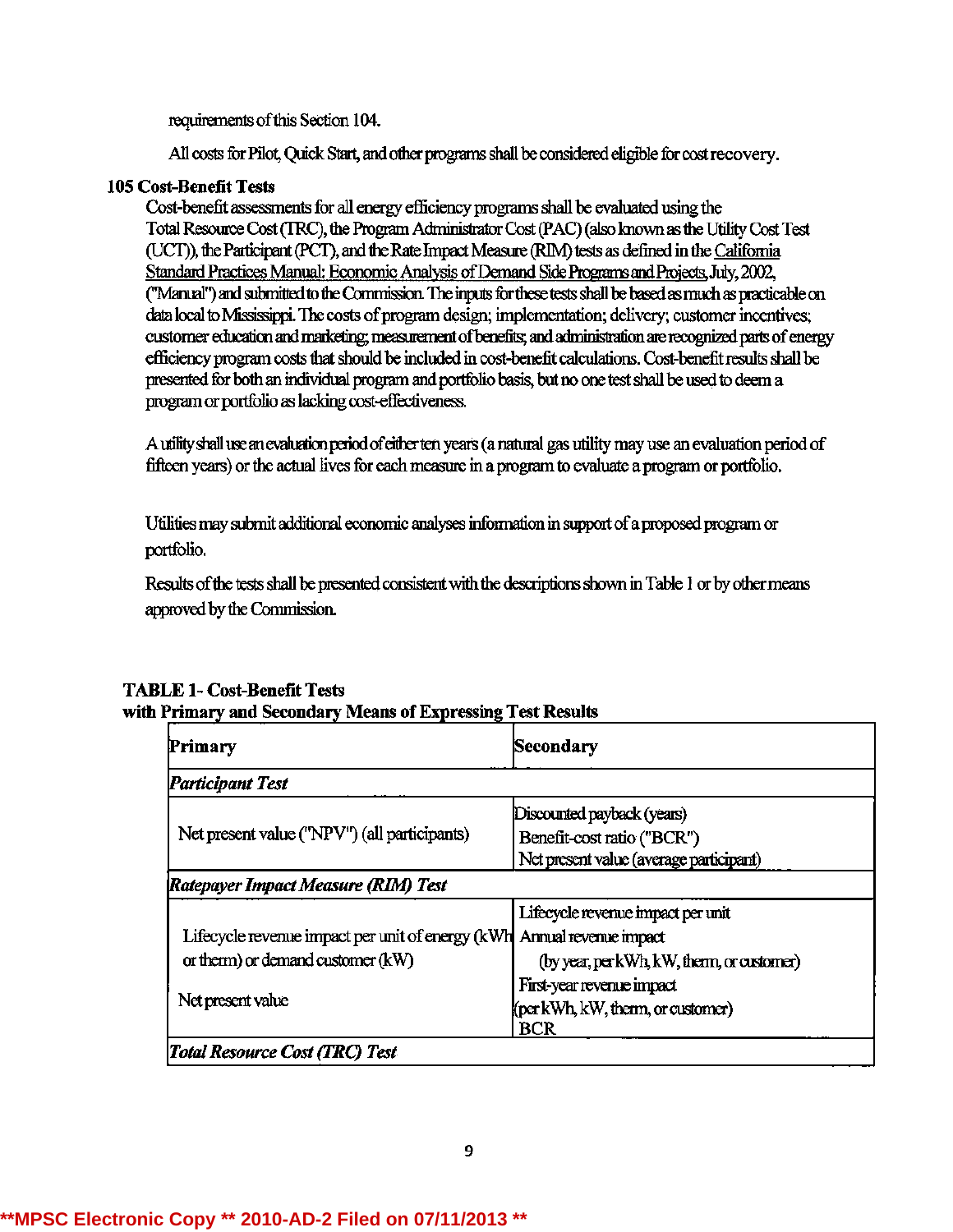requirements of this Section 104.

All costs for Pilot, Quick Start, and other programs shall be considered eligible for cost recovery.

### 105 Cost-Benefit Tests

Cost-benefit assessments for all energy efficiency programs shall be evaluated using the Total Resource Cost (TRC), the Program Administrator Cost (PAC) (also known as the Utility Cost Test (UCT)), the Participant (PCT), and the Rate Impact Measure (RIM) tests as defined in the California Standard Practices Manual: Economic Analysis of Demand Side Programs and Projects, July, 2002, ("Manual") and submitted to the Commission. The inputs for these tests shall be based as much as practicable on data local to Mississippi. The costs of program design; implementation; delivery; customer incentives; customer education and marketing; measurement of benefits; and administration are recognized parts of energy efficiency program costs that should be included in cost-benefit calculations. Cost-benefit results shall be presented for both an individual program and portfolio basis, but no one test shall be used to deem a program or portfolio as lacking cost-effectiveness.

A utility shall use an evaluation period of either ten years (a natural gas utility may use an evaluation period of fifteen years) or the actual lives for each measure in a program to evaluate a program or portfolio.

Utilities may submit additional economic analyses information in support of a proposed program or portfolio.

Results of the tests shall be presented consistent with the descriptions shown in Table 1 or by other means approved by the Commission.

| Discounted payback (years)<br>Benefit-cost ratio ("BCR")<br>Net present value (average participant)                                                                                      |
|------------------------------------------------------------------------------------------------------------------------------------------------------------------------------------------|
|                                                                                                                                                                                          |
| Lifecycle revenue impact per unit<br>Annual revenue impact<br>(by year, per kWh, kW, thenn, or customer)<br>First-year revenue impact<br>(per kWh, kW, therm, or customer)<br><b>BCR</b> |
|                                                                                                                                                                                          |

# **TABLE 1- Cost-Benefit Tests** with Primary and Secondary Means of Expressing Test Results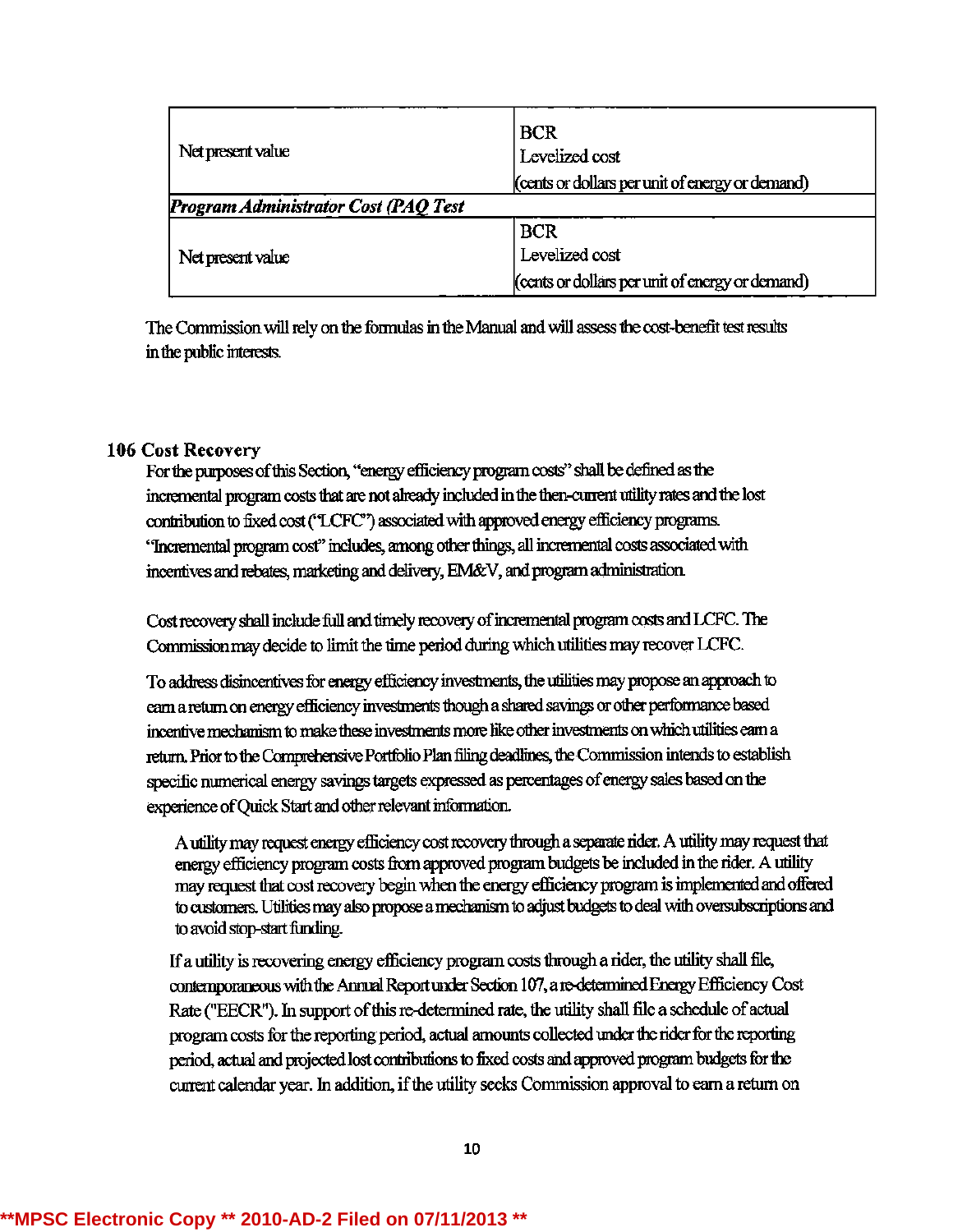| Net present value                    | <b>BCR</b><br>Levelized cost<br>(cents or dollars per unit of energy or demand) |  |  |
|--------------------------------------|---------------------------------------------------------------------------------|--|--|
| Program Administrator Cost (PAQ Test |                                                                                 |  |  |
|                                      | <b>BCR</b>                                                                      |  |  |
| Net present value                    | Levelized cost                                                                  |  |  |
|                                      | (cents or dollars per unit of energy or demand)                                 |  |  |

The Commission will rely on the formulas in the Manual and will assess the cost-benefit test results in the public interests.

## **106 Cost Recovery**

For the purposes of this Section, "energy efficiency program costs" shall be defined as the incremental program costs that are not already included in the then-current utility rates and the lost contribution to fixed cost ("LCFC") associated with approved energy efficiency programs. "Incremental program cost" includes, among other things, all incremental costs associated with incentives and rebates, marketing and delivery, EM&V, and program administration.

Cost recovery shall include full and timely recovery of incremental program costs and LCFC. The Commission may decide to limit the time period during which utilities may recover LCFC.

To address disincentives for energy efficiency investments, the utilities may propose an approach to earn a return on energy efficiency investments though a shared savings or other performance based incentive mechanism to make these investments more like other investments on which utilities earn a return. Prior to the Comprehensive Portfolio Plan filing deadlines, the Commission intends to establish specific numerical energy savings targets expressed as percentages of energy sales based on the experience of Quick Start and other relevant information.

A utility may request energy efficiency cost recovery through a separate rider. A utility may request that energy efficiency program costs from approved program budgets be included in the rider. A utility may request that cost recovery begin when the energy efficiency program is implemented and offered to customers. Utilities may also propose a mechanism to adjust budgets to deal with oversubscriptions and to avoid stop-start funding.

If a utility is recovering energy efficiency program costs through a rider, the utility shall file, contemporaneous with the Annual Report under Section 107, a re-determined Energy Efficiency Cost Rate ("EECR"). In support of this re-determined rate, the utility shall file a schedule of actual program costs for the reporting period, actual amounts collected under the rider for the reporting period, actual and projected lost contributions to fixed costs and approved program budgets for the current calendar year. In addition, if the utility seeks Commission approval to earn a return on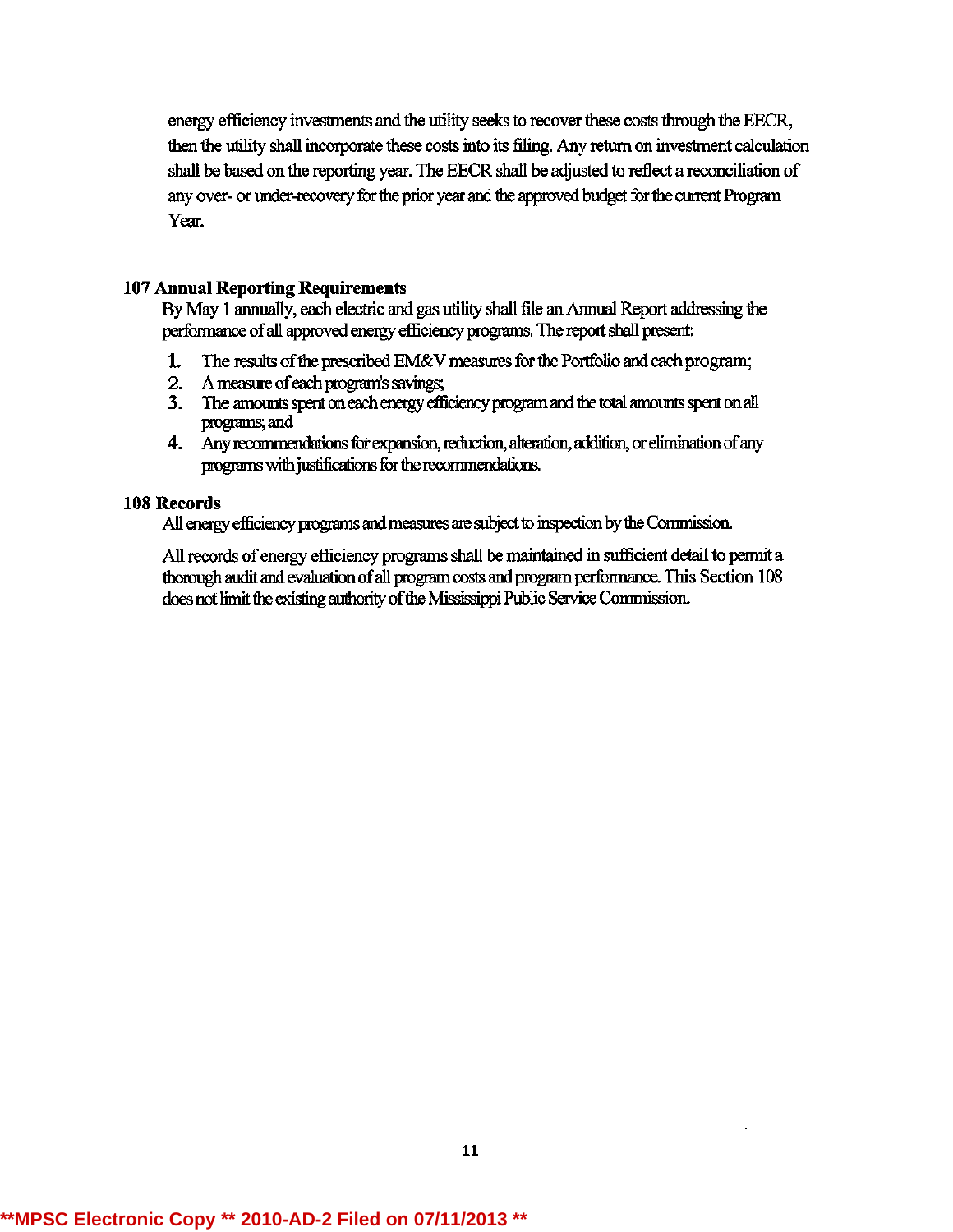energy efficiency investments and the utility seeks to recover these costs through the EECR, then the utility shall incorporate these costs into its filing. Any return on investment calculation shall be based on the reporting year. The EECR shall be adjusted to reflect a reconciliation of any over- or under-recovery for the prior year and the approved budget for the current Program Year.

## **107 Annual Reporting Requirements**

By May 1 annually, each electric and gas utility shall file an Annual Report addressing the performance of all approved energy efficiency programs. The report shall present:

- 1. The results of the prescribed EM&V measures for the Portfolio and each program;
- 2. A measure of each program's savings;
- 3. The amounts spent on each energy efficiency program and the total amounts spent on all programs; and
- 4. Any recommendations for expansion, reduction, alteration, addition, or elimination of any programs with justifications for the recommendations.

## 108 Records

All energy efficiency programs and measures are subject to inspection by the Commission.

All records of energy efficiency programs shall be maintained in sufficient detail to permit a thorough audit and evaluation of all program costs and program performance. This Section 108 does not limit the existing authority of the Mississippi Public Service Commission.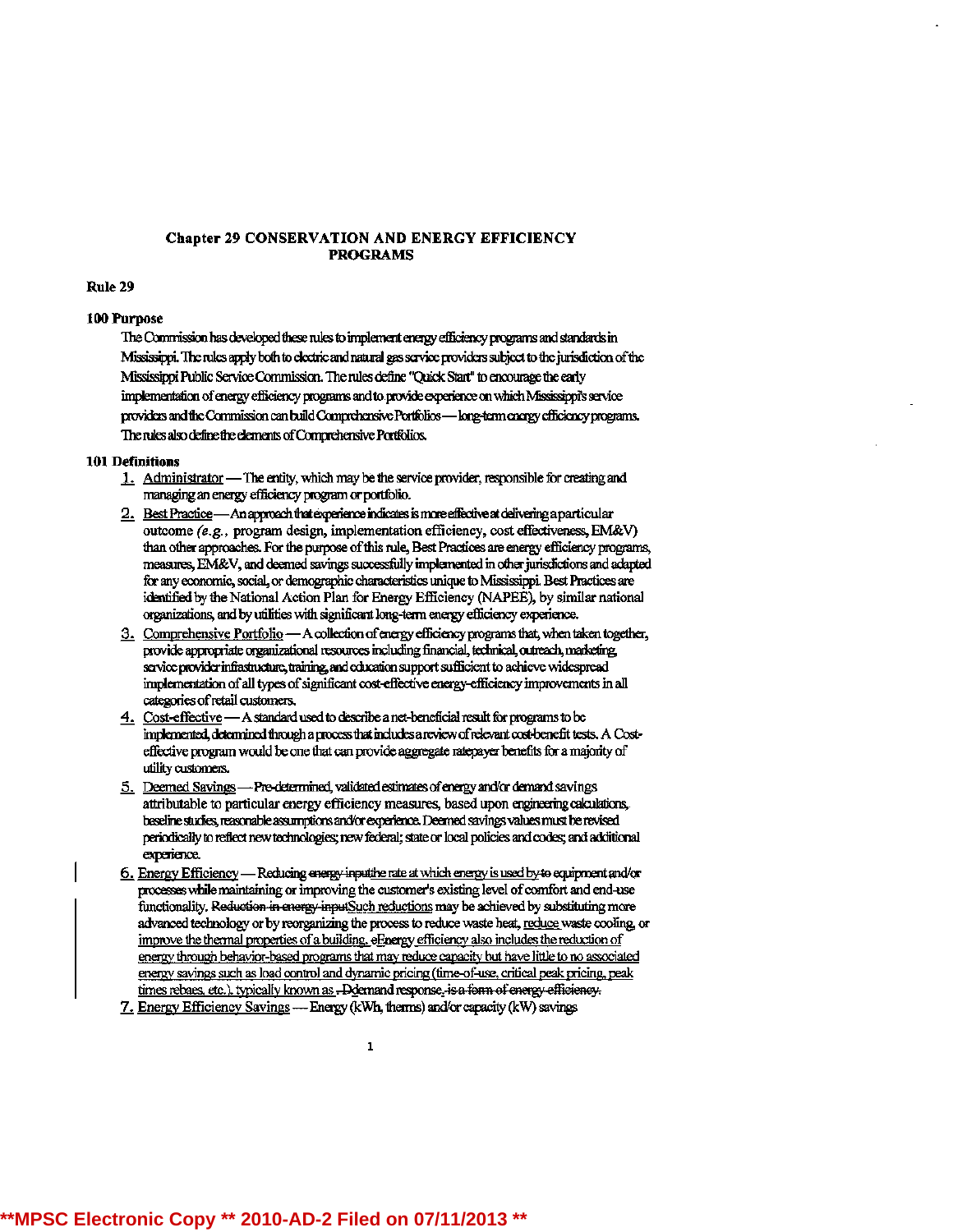#### **Chapter 29 CONSERVATION AND ENERGY EFFICIENCY PROGRAMS**

#### Rule 29

#### 100 Purpose

The Commission has developed these rules to implement energy efficiency programs and standards in Mississippi. The rules apply both to electric and natural gas service providers subject to the jurisdiction of the Mississippi Public Service Commission. The rules define "Quick Start" to encourage the early implementation of energy efficiency programs and to provide experience on which Mississippi's service providers and the Commission can build Comprehensive Portfolios-hong-term energy efficiency programs. The rules also define the elements of Comprehensive Portfolios.

#### **101 Definitions**

- 1. Administrator The entity, which may be the service provider, responsible for creating and managing an energy efficiency program or portfolio.
- 2. Best Practice An approach that experience indicates is more effective at delivering a particular outcome (e.g., program design, implementation efficiency, cost effectiveness, EM&V) than other approaches. For the purpose of this rule, Best Practices are energy efficiency programs, measures, EM&V, and deemed savings successfully implemented in other jurisdictions and adapted for any economic, social, or demographic characteristics unique to Mississippi. Best Practices are identified by the National Action Plan for Energy Efficiency (NAPEE), by similar national organizations, and by utilities with significant long-term energy efficiency experience.
- 3. Comprehensive Portfolio A collection of energy efficiency programs that, when taken together, provide appropriate organizational resources including financial, technical, outreach, marketing, service provider infrastructure, training, and education support sufficient to achieve widespread implementation of all types of significant cost-effective energy-efficiency improvements in all categories of retail customers.
- 4. Cost-effective A standard used to describe a net-beneficial result for programs to be implemented, determined through a process that includes a review of relevant cost-benefit tests. A Costeffective program would be one that can provide aggregate ratepayer benefits for a majority of utility customers.
- 5. Deemed Savings Pro-determined, validated estimates of energy and/or demand savings attributable to particular energy efficiency measures, based upon engineering calculations, baseline studies, reasonable assumptions and/or experience. Deemed savings values must be revised periodically to reflect new technologies; new federal; state or local policies and codes; and additional experience.
- 6. Energy Efficiency Reducing energy inputtive rate at which energy is used by to equipment and/or processes while maintaining or improving the customer's existing level of comfort and end-use functionality. Reduction in energy inputSuch reductions may be achieved by substituting more advanced technology or by reorganizing the process to reduce waste heat, reduce waste cooling, or improve the thermal properties of a building, eEnergy efficiency also includes the reduction of energy through behavior-based programs that may reduce capacity but have little to no associated energy savings such as load control and dynamic pricing (time-of-use, critical peak pricing, peak times rebaes, etc.), typically known as -- Ddemand response, is a form of energy efficiency.
- 7. Energy Efficiency Savings --- Energy (kWh, therms) and/or capacity (kW) savings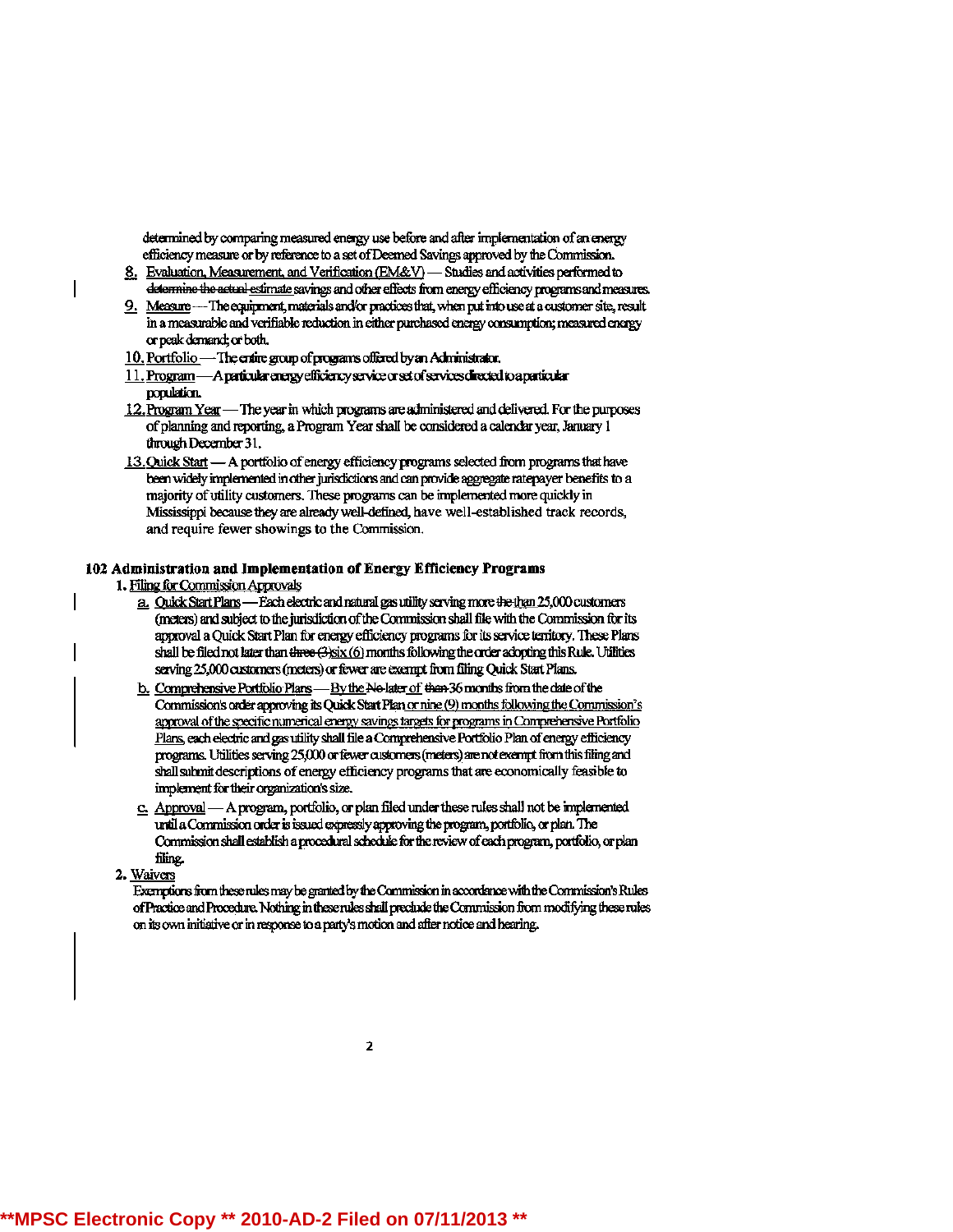determined by comparing measured energy use before and after implementation of an energy efficiency measure or by reference to a set of Deemed Savings approved by the Commission.

- 8. Evaluation, Measurement, and Verification (EM&V) Studies and activities performed to determine the actual estimate savings and other effects from energy efficiency programs and measures.
- 9. Measure --- The equipment, materials and/or practices that, when put into use at a customer site, result in a measurable and verifiable reduction in either purchased energy consumption; measured energy or peak demand; or both.
- 10. Portfolio The entire group of programs offered by an Administrator.
- 11. Program A particular energy efficiency service or set of services directed to a particular population.
- 12. Program Year The year in which programs are administered and delivered. For the purposes of planning and reporting, a Program Year shall be considered a calendar year, January 1 through December 31.
- 13. Quick Start A portfolio of energy efficiency programs selected from programs that have been widely implemented in other jurisdictions and can provide aggregate ratepayer benefits to a majority of utility customers. These programs can be implemented more quickly in Mississippi because they are already well-defined, have well-established track records, and require fewer showings to the Commission.

#### 102 Administration and Implementation of Energy Efficiency Programs

- 1. Filing for Commission Approvals
	- a. Ouick Start Plans Each electric and natural gas utility serving more the than 25,000 customers (meters) and subject to the jurisdiction of the Commission shall file with the Commission for its approval a Quick Start Plan for energy efficiency programs for its service territory. These Plans serving 25,000 customers (meters) or fewer are exempt from filing Quick Start Plans.
	- b. Comprehensive Portfolio Plans By the No-later of then 36 months from the date of the Commission's order approving its Quick Start Plan or nine (9) months following the Commission's approval of the specific numerical energy savings targets for programs in Comprehensive Portfolio Plans, each electric and gas utility shall file a Comprehensive Portfolio Plan of energy efficiency programs. Utilities serving 25,000 or fewer customers (meters) are not exempt from this filing and shall submit descriptions of energy efficiency programs that are economically feasible to implement for their organization's size.
	- c. Approval A program, portfolio, or plan filed under these rules shall not be implemented until a Commission order is issued expressly approving the program, portfolio, or plan. The Commission shall establish a procedural schedule for the review of each program, portfolio, or plan filing.
- 2. Waivers

Exemptions from these rules may be granted by the Commission in accordance with the Commission's Rules of Practice and Procedure. Nothing in these rules shall preclude the Commission from modifying these rules on its own initiative or in response to a party's motion and after notice and hearing.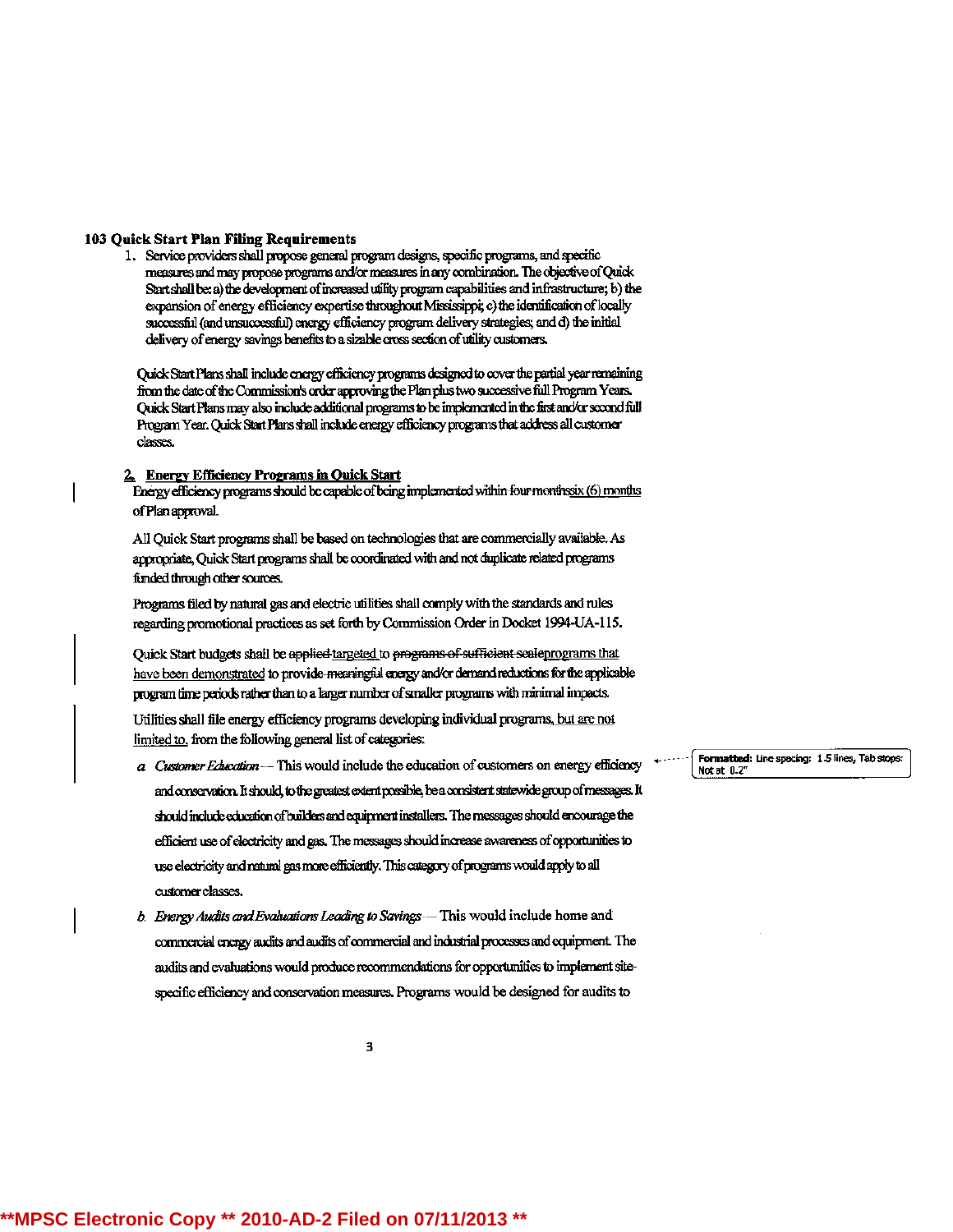#### 103 Quick Start Plan Filing Requirements

1. Service providers shall propose general program designs, specific programs, and specific measures and may propose programs and/or measures in any combination. The objective of Quick Start shall be: a) the development of increased utility program capabilities and infrastructure; b) the expansion of energy efficiency expertise throughout Mississippi; c) the identification of locally successful (and unsuccessful) energy efficiency program delivery strategies; and d) the initial delivery of energy savings benefits to a sizable cross section of utility customers.

Quick Start Plans shall include energy efficiency programs designed to cover the partial year remaining from the date of the Commission's order approving the Plan plus two successive full Program Years. Quick Start Plans may also include additional programs to be implemented in the first and/or second full Program Year. Quick Start Plans shall include energy efficiency programs that address all customer classes.

#### 2. Energy Efficiency Programs in Quick Start

Energy efficiency programs should be capable of being implemented within four monthssix (6) months of Plan approval.

All Quick Start programs shall be based on technologies that are commercially available. As appropriate, Quick Start programs shall be coordinated with and not duplicate related programs funded through other sources.

Programs filed by natural gas and electric utilities shall comply with the standards and rules regarding promotional practices as set forth by Commission Order in Docket 1994-UA-115.

Ouick Start budgets shall be applied targeted to programs of sufficient scaleprograms that have been demonstrated to provide-meaningful energy and/or demand reductions for the applicable program time periods rather than to a larger number of smaller programs with minimal impacts.

Utilities shall file energy efficiency programs developing individual programs, but are not limited to, from the following general list of categories:

- a Customer Education -- This would include the education of customers on energy efficiency and conservation. It should, to the greatest extent possible, be a consistent statewide group of messages. It should include education of builders and equipment installers. The messages should encourage the efficient use of electricity and gas. The messages should increase awareness of opportunities to use electricity and natural gas more efficiently. This category of programs would apply to all customer classes.
- b. Energy Audits and Evaluations Leading to Savings This would include home and commercial energy audits and audits of commercial and industrial processes and equipment. The audits and evaluations would produce recommendations for opportunities to implement sitespecific efficiency and conservation measures. Programs would be designed for audits to

3

Formatted: Line spacing: 1.5 lines, Tab stops: Not at 0.2"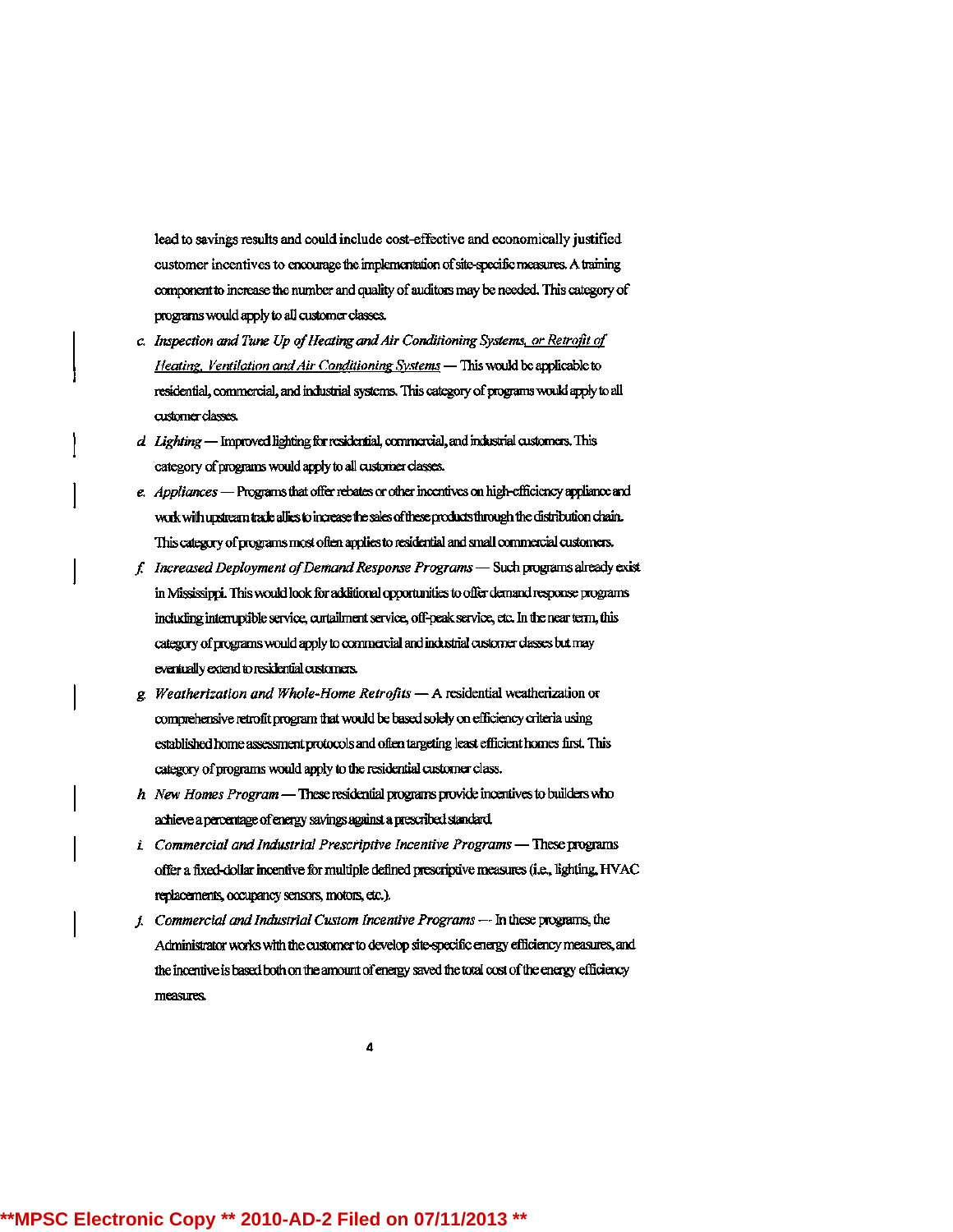lead to savings results and could include cost-effective and economically justified customer incentives to encourage the implementation of site-specific measures. A training component to increase the number and quality of auditors may be needed. This category of programs would apply to all customer classes.

- c. Inspection and Tune Up of Heating and Air Conditioning Systems, or Retrofit of Heating, Ventilation and Air Conditioning Systems - This would be applicable to residential, commercial, and industrial systems. This category of programs would apply to all customer classes.
- d Lighting Improved lighting for residential, commercial, and industrial customers. This category of programs would apply to all customer classes.
- e. Appliances Programs that offer rebates or other incentives on high-efficiency appliance and work with upstream trade allies to increase the sales of these products through the distribution chain. This category of programs most often applies to residential and small commercial customers.
- f. Increased Deployment of Demand Response Programs Such programs already exist in Mississippi. This would look for additional opportunities to offer demand response programs including interruptible service, curtailment service, off-peak service, etc. In the near term, this category of programs would apply to commercial and industrial customer classes but may eventually extend to residential customers.
- g. Weatherization and Whole-Home Retrofits  $-$  A residential weatherization or comprehensive retrofit program that would be based solely on efficiency criteria using established home assessment protocols and often targeting least efficient homes first. This category of programs would apply to the residential customer class.
- $h$  New Homes Program These residential programs provide incentives to builders who achieve a percentage of energy savings against a prescribed standard.
- *i.* Commercial and Industrial Prescriptive Incentive Programs These programs offer a fixed-dollar incentive for multiple defined prescriptive measures (i.e., lighting, HVAC replacements, occupancy sensors, motors, etc.).
- *i.* Commercial and Industrial Custom Incentive Programs --- In these programs, the Administrator works with the customer to develop site-specific energy efficiency measures, and the incentive is based both on the amount of energy saved the total cost of the energy efficiency measures.

4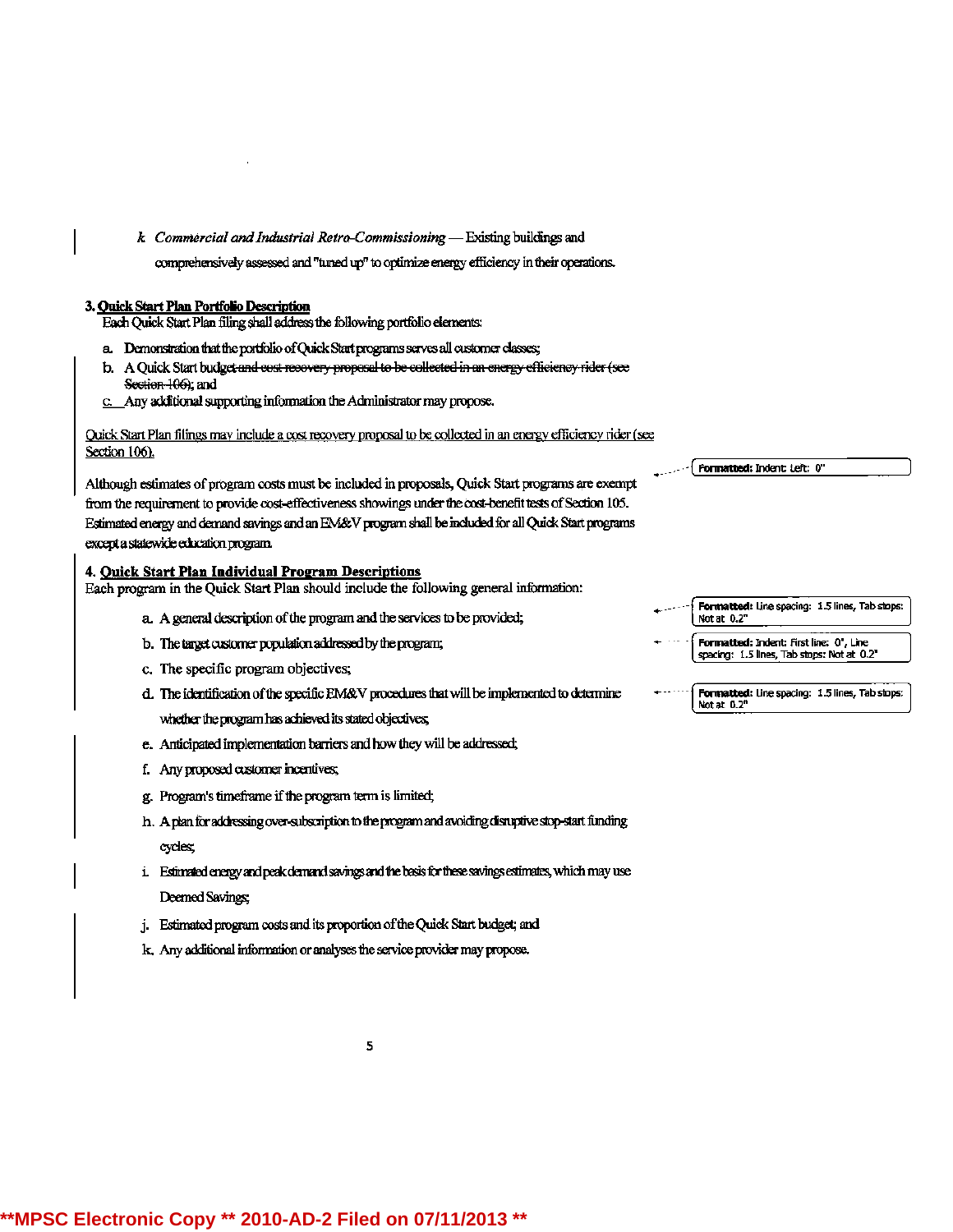$k$  Commercial and Industrial Retro-Commissioning  $-$  Existing buildings and

comprehensively assessed and "tuned up" to optimize energy efficiency in their operations.

#### 3. Quick Start Plan Portfolio Description

Each Quick Start Plan filing shall address the following portfolio elements:

- a. Demonstration that the portfolio of Quick Start programs serves all customer classes;
- b. A Quick Start budget and cost recovery proposal to be collected in an energy efficiency rider (see Section 106); and
- c. Any additional supporting information the Administrator may propose.

Quick Start Plan filings may include a cost recovery proposal to be collected in an energy efficiency rider (see Section 106).

Although estimates of program costs must be included in proposals, Quick Start programs are exempt from the requirement to provide cost-effectiveness showings under the cost-benefit tests of Section 105. Estimated energy and demand savings and an EM&V program shall be included for all Quick Start programs except a statewide education program.

#### 4. Quick Start Plan Individual Program Descriptions

Each program in the Quick Start Plan should include the following general information:

- a. A general description of the program and the services to be provided;
- b. The target customer population addressed by the program;
- c. The specific program objectives;
- d. The identification of the specific EM&V procedures that will be implemented to determine whether the program has achieved its stated objectives;
- e. Anticipated implementation barriers and how they will be addressed;
- f. Any proposed customer incentives;
- g. Program's timeframe if the program term is limited;
- h. A plan for addressing over-subscription to the program and avoiding disruptive stop-start funding cycles;
- i. Estimated energy and peak demand savings and the basis for these savings estimates, which may use Deemed Savings;
- j. Estimated program costs and its proportion of the Quick Start budget; and
- k. Any additional information or analyses the service provider may propose.

| Not at 0.2" |  |
|-------------|--|

```
Formatted: Indent: First line: 0", Line
spacing: 1.5 lines, Tab stops: Not at 0.2"
```
Formatted: Indent: Left: 0"

| ">>>> Formatted: Line spacing: 1.5 lines, Tab stops: |  |
|------------------------------------------------------|--|
| Notat 0.2"                                           |  |

5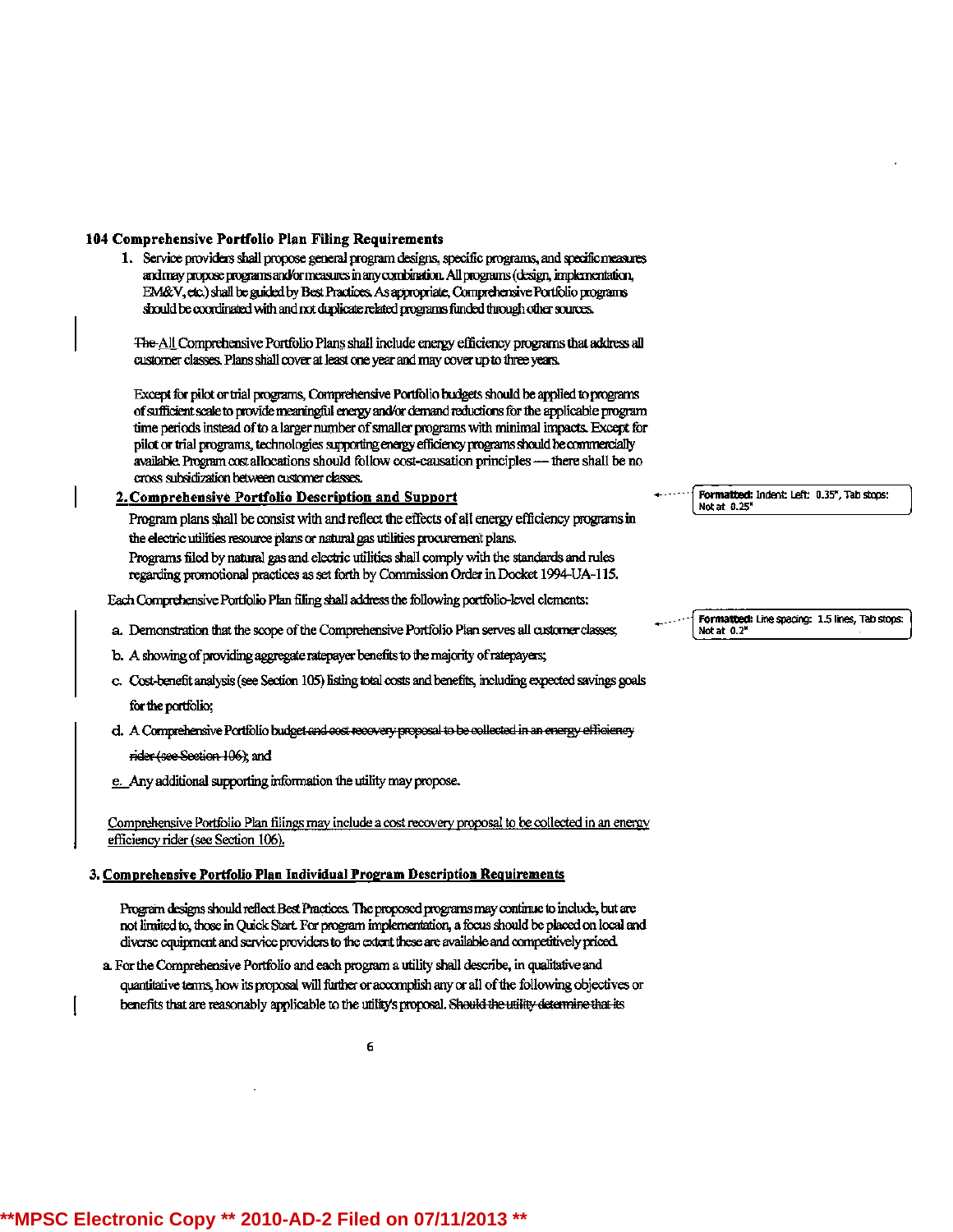#### 104 Comprehensive Portfolio Plan Filing Requirements

1. Service providers shall propose general program designs, specific programs, and specific measures and may propose programs and/or measures in any combination. All programs (design, implementation, EM&V, etc.) shall be guided by Best Practices. As appropriate, Comprehensive Portfolio programs should be coordinated with and not duplicate related programs funded through other sources.

The All Comprehensive Portfolio Plans shall include energy efficiency programs that address all customer classes. Plans shall cover at least one year and may cover up to three years.

Except for pilot or trial programs, Comprehensive Portfolio budgets should be applied to programs of sufficient scale to provide meaningful energy and/or demand reductions for the applicable program time periods instead of to a larger number of smaller programs with minimal impacts. Except for pilot or trial programs, technologies supporting energy efficiency programs should be commercially available. Program cost allocations should follow cost-causation principles -- there shall be no cross subsidization between customer classes.

#### 2. Comprehensive Portfolio Description and Support

Program plans shall be consist with and reflect the effects of all energy efficiency programs in the electric utilities resource plans or natural gas utilities procurement plans. Programs filed by natural gas and electric utilities shall comply with the standards and rules regarding promotional practices as set forth by Commission Order in Docket 1994-UA-115.

Each Comprehensive Portfolio Plan filing shall address the following portfolio-level elements:

- a. Demonstration that the scope of the Comprehensive Portfolio Plan serves all customer classes;
- b. A showing of providing aggregate ratepayer benefits to the majority of ratepayers;
- c. Cost-benefit analysis (see Section 105) listing total costs and benefits, including expected savings goals for the portfolio:
- d. A Comprehensive Portfolio budget and cost recovery proposal to be collected in an energy efficiency

rider (see Section 106); and

e. Any additional supporting information the utility may propose.

Comprehensive Portfolio Plan filings may include a cost recovery proposal to be collected in an energy efficiency rider (see Section 106).

#### 3. Comprehensive Portfolio Plan Individual Program Description Requirements

Program designs should reflect Best Practices. The proposed programs may continue to include, but are not limited to, those in Quick Start. For program implementation, a focus should be placed on local and diverse equipment and service providers to the extent these are available and competitively priced.

a. For the Comprehensive Portfolio and each program a utility shall describe, in qualitative and quantitative terms, how its proposal will further or accomplish any or all of the following objectives or benefits that are reasonably applicable to the utility's proposal. Should the utility determine that its

Formatted: Indent: Left: 0.35", Tab stops: Not at 0.25'

Formatted: Line spacing: 1.5 lines, Tab stops: Not at 0.2"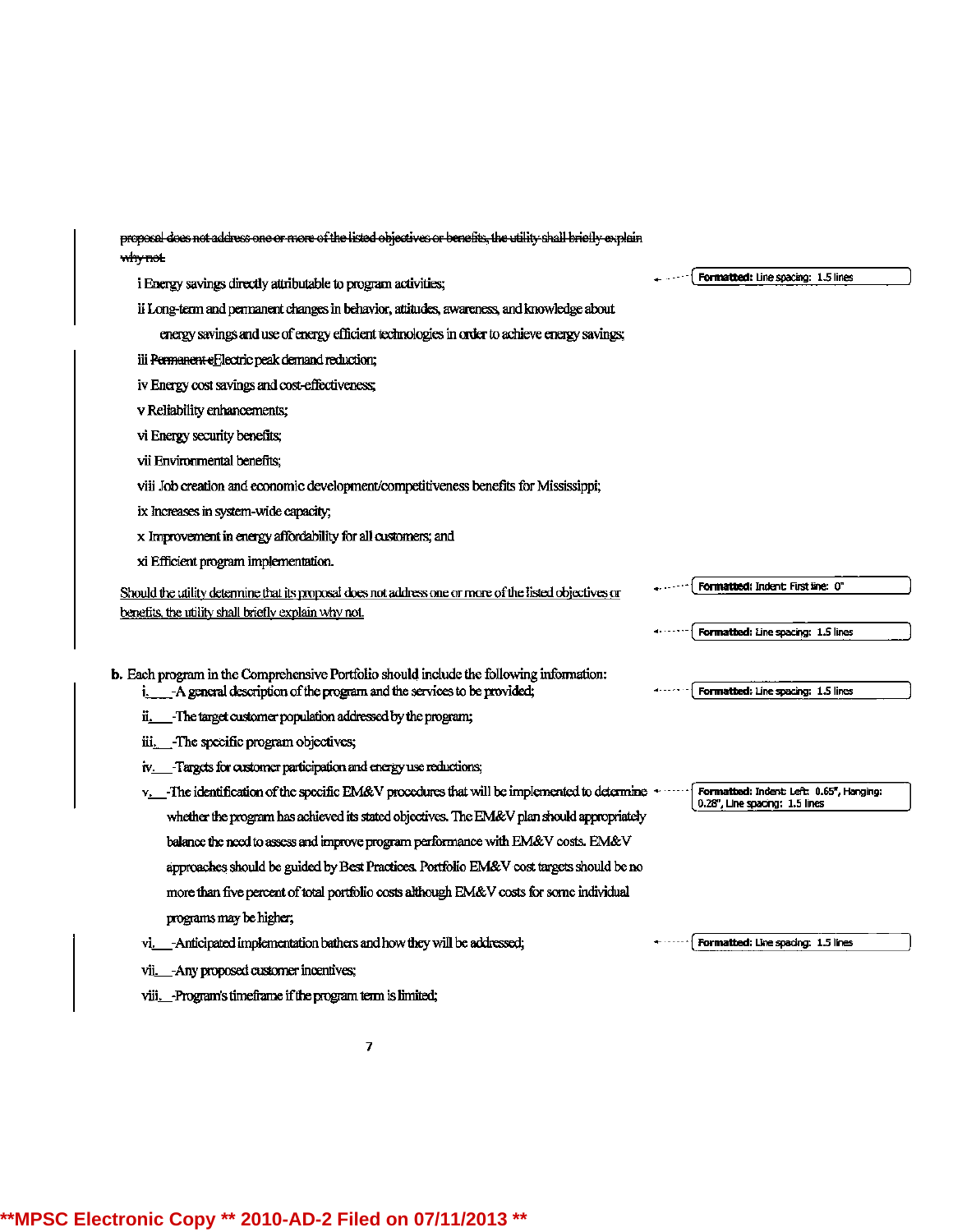proposal does not address one or more of the listed objectives or benefits, the utility shall briefly explain why not

i Energy savings directly attributable to program activities;

ii Long-term and permanent changes in behavior, attitudes, awareness, and knowledge about

energy savings and use of energy efficient technologies in order to achieve energy savings;

iii Permanent efflectric peak demand reduction;

iv Energy cost savings and cost-effectiveness;

v Reliability enhancements;

vi Energy security benefits;

vii Environmental benefits:

viii Job creation and economic development/competitiveness benefits for Mississippi;

ix Increases in system-wide capacity;

x Improvement in energy affordability for all customers; and

xi Efficient program implementation.

Should the utility determine that its proposal does not address one or more of the listed objectives or benefits, the utility shall briefly explain why not.

**b.** Each program in the Comprehensive Portfolio should include the following information: i. A general description of the program and the services to be provided;

- ii. Fhe target customer population addressed by the program;
- iii. The specific program objectives;

iv. Targets for customer participation and energy use reductions;

v. The identification of the specific EM&V procedures that will be implemented to determine + whether the program has achieved its stated objectives. The EM&V plan should appropriately balance the need to assess and improve program performance with EM&V costs. EM&V approaches should be guided by Best Practices. Portfolio EM&V cost targets should be no more than five percent of total portfolio costs although EM&V costs for some individual programs may be higher;

vi. Anticipated implementation bathers and how they will be addressed;

vii. - Any proposed customer incentives;

viii. Program's timeframe if the program term is limited;

Formatted: Line spacing: 1.5 lines

Formatted: Line spacing: 1.5 lines

Formatted: Indent: First line: 0"

Formatted: Line spacing: 1.5 lines

Formatted: Indent: Left: 0.65", Hanging: 0.28", Line spacing: 1.5 lines

Formatted: Line spacing: 1.5 lines

\*\*MPSC Electronic Copy \*\* 2010-AD-2 Filed on 07/11/2013 \*\*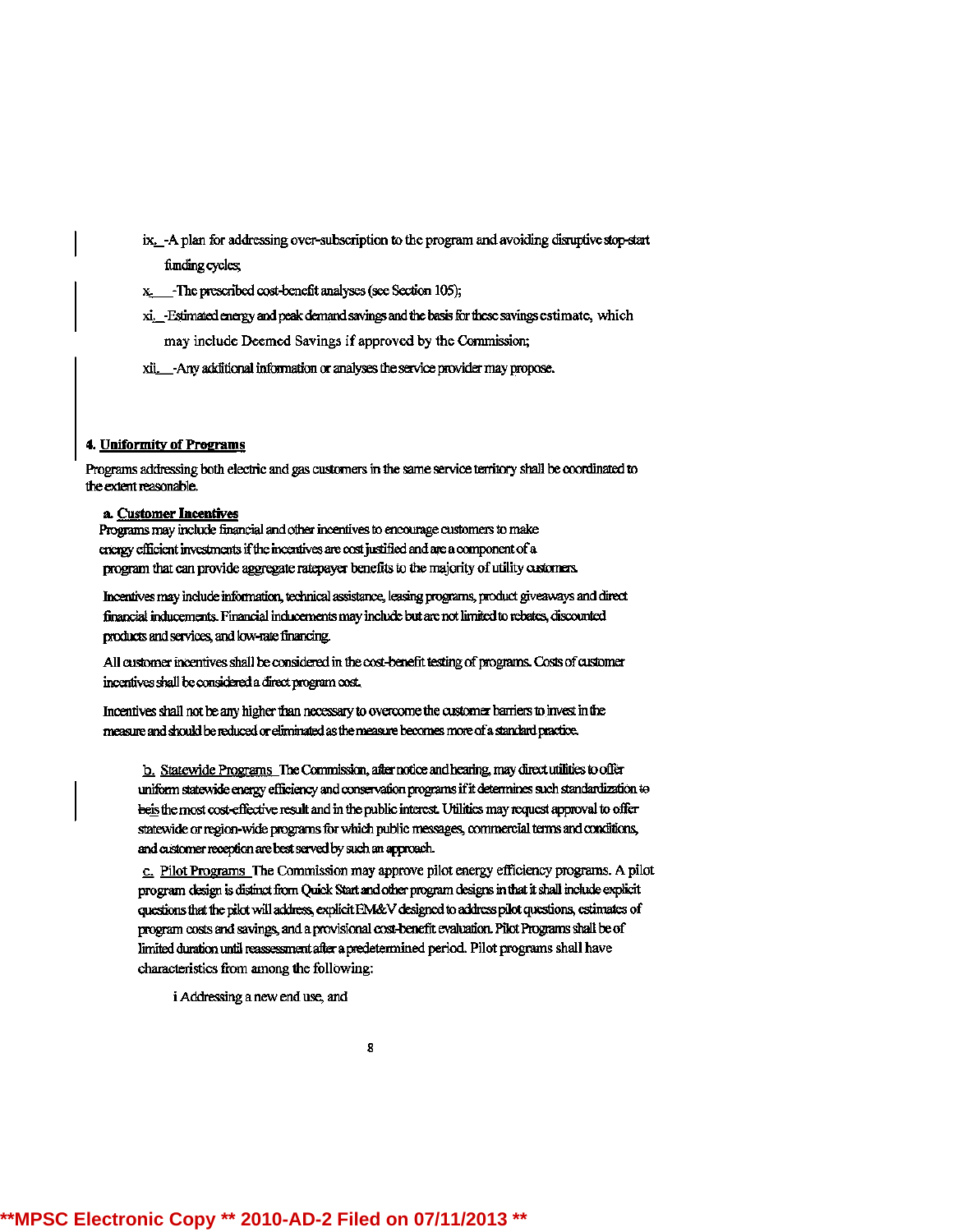- ix. A plan for addressing over-subscription to the program and avoiding disruptive stop-start funding cycles;
- x<sub>2</sub> The prescribed cost-benefit analyses (see Section 105);
- xi. Estimated energy and peak demand savings and the basis for these savings estimate, which may include Deemed Savings if approved by the Commission;
- xii. Any additional information or analyses the service provider may propose.

### 4. Uniformity of Programs

Programs addressing both electric and gas customers in the same service territory shall be coordinated to the extent reasonable.

#### a. Customer Incentives

Programs may include financial and other incentives to encourage customers to make energy efficient investments if the incentives are cost justified and are a component of a program that can provide aggregate ratepayer benefits to the majority of utility customers.

Incentives may include information, technical assistance, leasing programs, product giveaways and direct financial inducements. Financial inducements may include but are not limited to rebates, discounted products and services, and low-rate financing.

All customer incentives shall be considered in the cost-benefit testing of programs. Costs of customer incentives shall be considered a direct program cost.

Incentives shall not be any higher than necessary to overcome the customer barriers to invest in the measure and should be reduced or eliminated as the measure becomes more of a standard practice.

b. Statewide Programs The Commission, after notice and hearing, may direct utilities to offer uniform statewide energy efficiency and conservation programs if it determines such standardization to beis the most cost-effective result and in the public interest. Utilities may request approval to offer statewide or region-wide programs for which public messages, commercial terms and conditions, and customer reception are best served by such an approach.

c. Pilot Programs The Commission may approve pilot energy efficiency programs. A pilot program design is distinct from Quick Start and other program designs in that it shall include explicit questions that the pilot will address, explicit EM&V designed to address pilot questions, estimates of program costs and savings, and a provisional cost-benefit evaluation. Pilot Programs shall be of limited duration until reassessment after a predetermined period. Pilot programs shall have characteristics from among the following:

i Addressing a new end use, and

8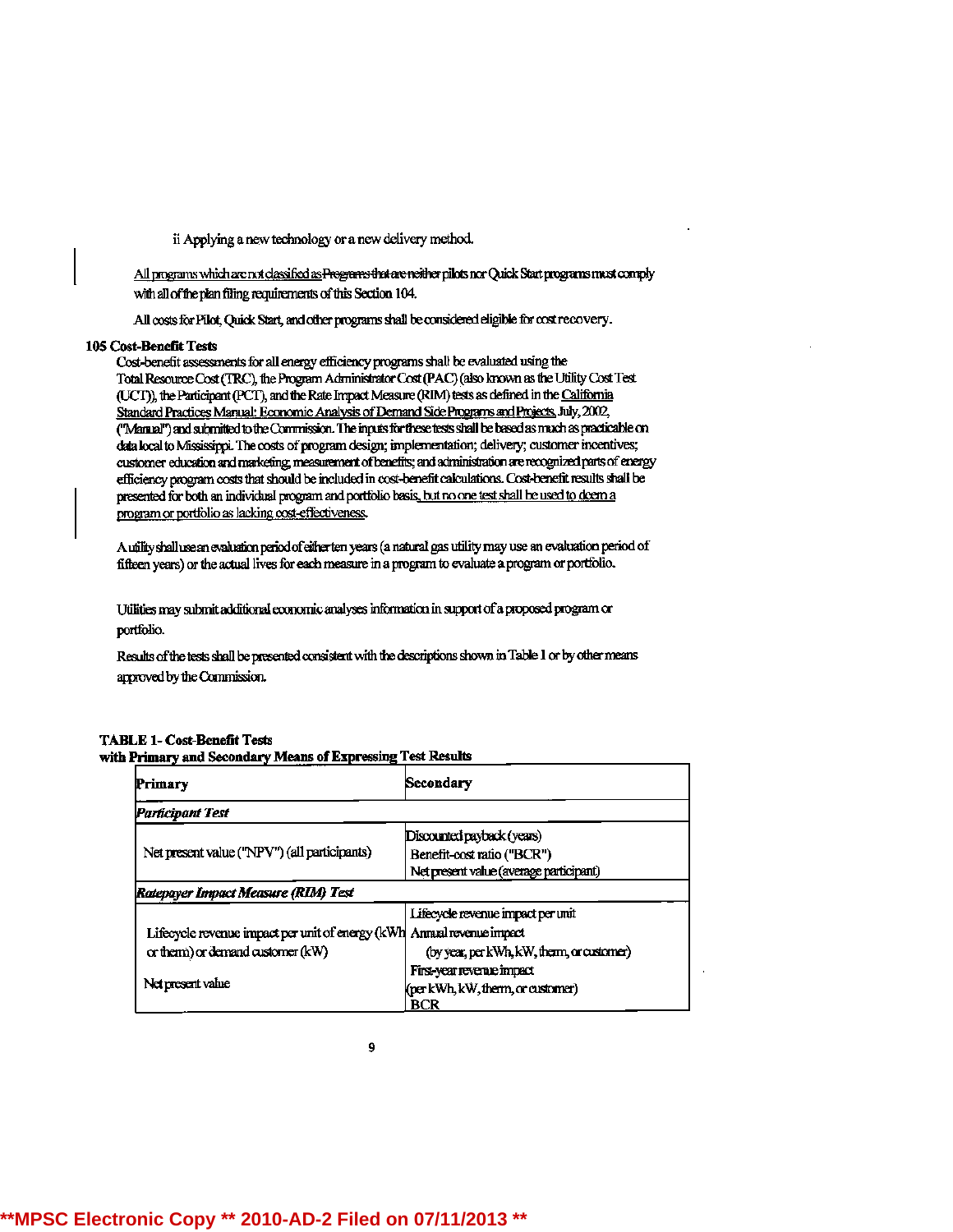ii Applying a new technology or a new delivery method.

All programs which are not classified as Programs that are neither pilots nor Quick Start programs must comply with all of the plan filing requirements of this Section 104.

All costs for Pilot, Quick Start, and other programs shall be considered eligible for cost recovery.

#### 105 Cost-Benefit Tests

Cost-benefit assessments for all energy efficiency programs shall be evaluated using the Total Resource Cost (TRC), the Program Administrator Cost (PAC) (also known as the Utility Cost Test (UCT), the Participant (PCT), and the Rate Impact Measure (RIM) tests as defined in the California Standard Practices Manual: Economic Analysis of Demand Side Programs and Projects, July, 2002, ("Manual") and submitted to the Commission. The inputs for these tests shall be based as much as practicable on data local to Mississippi. The costs of program design; implementation; delivery; customer incentives; customer education and marketing, measurement of benefits; and administration are recognized parts of energy efficiency program costs that should be included in cost-benefit calculations. Cost-benefit results shall be presented for both an individual program and portfolio basis, but no one test shall be used to deem a program or portfolio as lacking cost-effectiveness.

A utility shall use an evaluation period of either ten years (a natural gas utility may use an evaluation period of fifteen years) or the actual lives for each measure in a program to evaluate a program or portfolio.

Utilities may submit additional economic analyses information in support of a proposed program or portfolio.

Results of the tests shall be presented consistent with the descriptions shown in Table 1 or by other means approved by the Commission.

#### **TABLE 1- Cost-Benefit Tests** with Primary and Secondary Means of Expressing Test Results

| Primary                                          | Secondary                                  |
|--------------------------------------------------|--------------------------------------------|
| Participant Test                                 |                                            |
|                                                  | Discounted payback (years)                 |
| Net present value ("NPV") (all participants)     | Benefit-cost ratio ("BCR")                 |
|                                                  | Net present value (average participant)    |
| Ratepayer Impact Measure (RIM) Test              |                                            |
|                                                  | Lifecycle revenue impact per unit          |
| Lifecycle revenue impact per unit of energy (kWh | Annual revenue impact                      |
| or therm) or demand customer (kW)                | (by year, per kWh, kW, therm, or customer) |
| Net present value                                | First-year revenue impact                  |
|                                                  | (per kWh, kW, therm, or customer)          |
|                                                  | BCR                                        |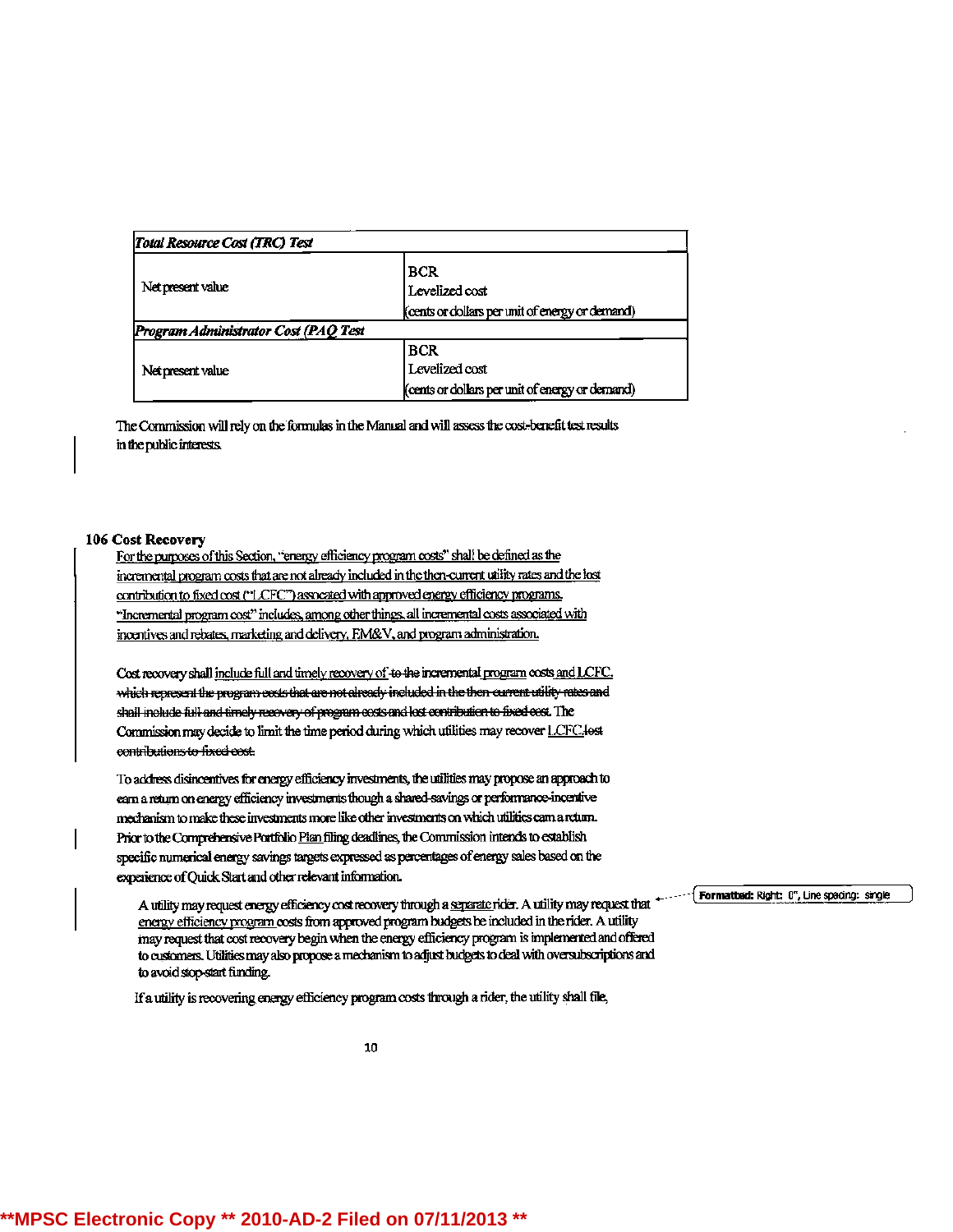| Total Resource Cost (TRC) Test       |                                                                                 |
|--------------------------------------|---------------------------------------------------------------------------------|
| Net present value                    | <b>BCR</b><br>Levelized cost<br>(cents or dollars per unit of energy or demand) |
| Program Administrator Cost (PAQ Test |                                                                                 |
|                                      | <b>BCR</b>                                                                      |
| Net present value                    | Levelized cost                                                                  |
|                                      | (cents or dollars per unit of energy or demand)                                 |

The Commission will rely on the formulas in the Manual and will assess the cost-benefit test results in the public interests.

#### 106 Cost Recovery

For the purposes of this Section, "energy efficiency program costs" shall be defined as the incremental program costs that are not already included in the then-current utility rates and the lost contribution to fixed cost ("LCFC") assocated with approved energy efficiency programs. "Incremental program cost" includes, among other things, all incremental costs associated with incentives and rebates, marketing and delivery, FM&V, and program administration.

Cost recovery shall include full and timely recovery of to the incremental program costs and LCFC. which represent the program costs that are not already included in the then current utility rates and shall include full and timely recovery of program costs and lost contribution to fixed cost. The Commission may decide to limit the time period during which utilities may recover LCFC lost contributions to fixed cost.

To address disincentives for energy efficiency investments, the utilities may propose an approach to earn a return on energy efficiency investments though a shared-savings or performance-incentive mechanism to make these investments more like other investments on which utilities cam a return. Prior to the Comprehensive Portfolio Pian filing deadlines, the Commission intends to establish specific numerical energy savings targets expressed as percentages of energy sales based on the experience of Quick Start and other relevant information.

A utility may request energy efficiency cost recovery through a separate rider. A utility may request that " energy efficiency program costs from approved program budgets be included in the rider. A utility may request that cost recovery begin when the energy efficiency program is implemented and offered to customers. Utilities may also propose a mechanism to adjust budgets to deal with oversubscriptions and to avoid stop-start funding.

If a utility is recovering energy efficiency program costs through a rider, the utility shall file,

10

Formatted: Right: 0", Line spacing: single